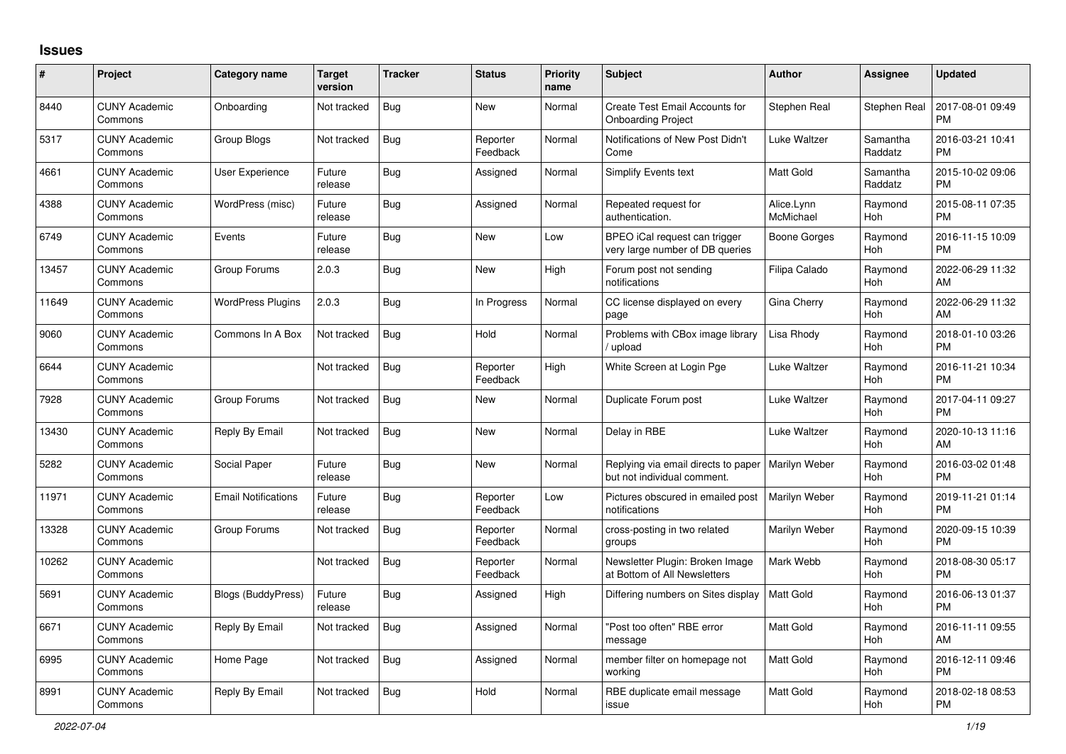## **Issues**

| #     | <b>Project</b>                  | Category name              | Target<br>version | <b>Tracker</b> | <b>Status</b>        | <b>Priority</b><br>name | <b>Subject</b>                                                     | <b>Author</b>           | Assignee            | <b>Updated</b>                |
|-------|---------------------------------|----------------------------|-------------------|----------------|----------------------|-------------------------|--------------------------------------------------------------------|-------------------------|---------------------|-------------------------------|
| 8440  | <b>CUNY Academic</b><br>Commons | Onboarding                 | Not tracked       | Bug            | <b>New</b>           | Normal                  | Create Test Email Accounts for<br><b>Onboarding Project</b>        | Stephen Real            | Stephen Real        | 2017-08-01 09:49<br><b>PM</b> |
| 5317  | <b>CUNY Academic</b><br>Commons | Group Blogs                | Not tracked       | Bug            | Reporter<br>Feedback | Normal                  | Notifications of New Post Didn't<br>Come                           | Luke Waltzer            | Samantha<br>Raddatz | 2016-03-21 10:41<br><b>PM</b> |
| 4661  | <b>CUNY Academic</b><br>Commons | User Experience            | Future<br>release | Bug            | Assigned             | Normal                  | <b>Simplify Events text</b>                                        | <b>Matt Gold</b>        | Samantha<br>Raddatz | 2015-10-02 09:06<br><b>PM</b> |
| 4388  | <b>CUNY Academic</b><br>Commons | WordPress (misc)           | Future<br>release | <b>Bug</b>     | Assigned             | Normal                  | Repeated request for<br>authentication.                            | Alice.Lynn<br>McMichael | Raymond<br>Hoh      | 2015-08-11 07:35<br><b>PM</b> |
| 6749  | <b>CUNY Academic</b><br>Commons | Events                     | Future<br>release | Bug            | New                  | Low                     | BPEO iCal request can trigger<br>very large number of DB queries   | Boone Gorges            | Raymond<br>Hoh      | 2016-11-15 10:09<br><b>PM</b> |
| 13457 | <b>CUNY Academic</b><br>Commons | Group Forums               | 2.0.3             | Bug            | <b>New</b>           | High                    | Forum post not sending<br>notifications                            | Filipa Calado           | Raymond<br>Hoh      | 2022-06-29 11:32<br><b>AM</b> |
| 11649 | <b>CUNY Academic</b><br>Commons | <b>WordPress Plugins</b>   | 2.0.3             | Bug            | In Progress          | Normal                  | CC license displayed on every<br>page                              | Gina Cherry             | Raymond<br>Hoh      | 2022-06-29 11:32<br>AM        |
| 9060  | <b>CUNY Academic</b><br>Commons | Commons In A Box           | Not tracked       | Bug            | Hold                 | Normal                  | Problems with CBox image library<br>/ upload                       | Lisa Rhody              | Raymond<br>Hoh      | 2018-01-10 03:26<br><b>PM</b> |
| 6644  | <b>CUNY Academic</b><br>Commons |                            | Not tracked       | Bug            | Reporter<br>Feedback | High                    | White Screen at Login Pge                                          | Luke Waltzer            | Raymond<br>Hoh      | 2016-11-21 10:34<br><b>PM</b> |
| 7928  | <b>CUNY Academic</b><br>Commons | Group Forums               | Not tracked       | Bug            | <b>New</b>           | Normal                  | Duplicate Forum post                                               | Luke Waltzer            | Ravmond<br>Hoh      | 2017-04-11 09:27<br><b>PM</b> |
| 13430 | <b>CUNY Academic</b><br>Commons | Reply By Email             | Not tracked       | Bug            | <b>New</b>           | Normal                  | Delay in RBE                                                       | Luke Waltzer            | Raymond<br>Hoh      | 2020-10-13 11:16<br>AM        |
| 5282  | <b>CUNY Academic</b><br>Commons | Social Paper               | Future<br>release | Bug            | <b>New</b>           | Normal                  | Replying via email directs to paper<br>but not individual comment. | Marilyn Weber           | Raymond<br>Hoh      | 2016-03-02 01:48<br><b>PM</b> |
| 11971 | <b>CUNY Academic</b><br>Commons | <b>Email Notifications</b> | Future<br>release | Bug            | Reporter<br>Feedback | Low                     | Pictures obscured in emailed post<br>notifications                 | Marilyn Weber           | Raymond<br>Hoh      | 2019-11-21 01:14<br><b>PM</b> |
| 13328 | <b>CUNY Academic</b><br>Commons | Group Forums               | Not tracked       | <b>Bug</b>     | Reporter<br>Feedback | Normal                  | cross-posting in two related<br>groups                             | Marilyn Weber           | Raymond<br>Hoh      | 2020-09-15 10:39<br><b>PM</b> |
| 10262 | <b>CUNY Academic</b><br>Commons |                            | Not tracked       | Bug            | Reporter<br>Feedback | Normal                  | Newsletter Plugin: Broken Image<br>at Bottom of All Newsletters    | Mark Webb               | Raymond<br>Hoh      | 2018-08-30 05:17<br><b>PM</b> |
| 5691  | <b>CUNY Academic</b><br>Commons | <b>Blogs (BuddyPress)</b>  | Future<br>release | Bug            | Assigned             | Hiah                    | Differing numbers on Sites display                                 | <b>Matt Gold</b>        | Raymond<br>Hoh      | 2016-06-13 01:37<br><b>PM</b> |
| 6671  | <b>CUNY Academic</b><br>Commons | Reply By Email             | Not tracked       | Bug            | Assigned             | Normal                  | "Post too often" RBE error<br>message                              | <b>Matt Gold</b>        | Raymond<br>Hoh      | 2016-11-11 09:55<br>AM        |
| 6995  | <b>CUNY Academic</b><br>Commons | Home Page                  | Not tracked       | Bug            | Assigned             | Normal                  | member filter on homepage not<br>working                           | Matt Gold               | Raymond<br>Hoh      | 2016-12-11 09:46<br><b>PM</b> |
| 8991  | <b>CUNY Academic</b><br>Commons | Reply By Email             | Not tracked       | <b>Bug</b>     | Hold                 | Normal                  | RBE duplicate email message<br>issue                               | Matt Gold               | Raymond<br>Hoh      | 2018-02-18 08:53<br><b>PM</b> |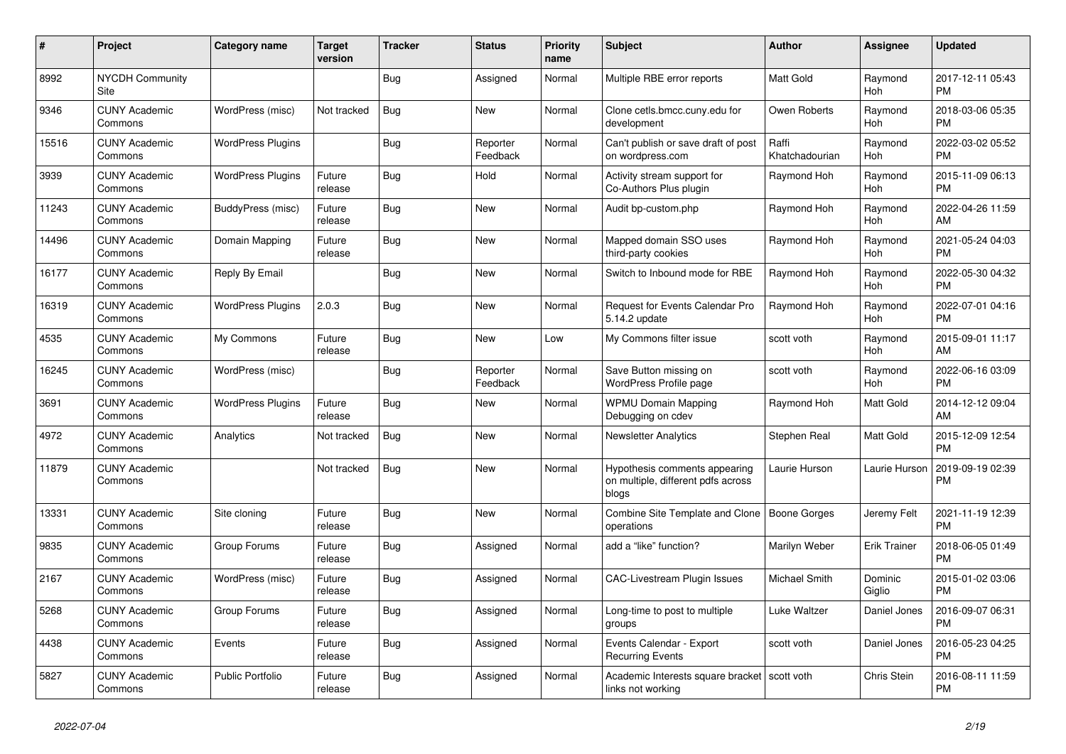| #     | Project                         | <b>Category name</b>     | Target<br>version | <b>Tracker</b> | <b>Status</b>        | Priority<br>name | <b>Subject</b>                                                               | <b>Author</b>           | Assignee            | <b>Updated</b>                |
|-------|---------------------------------|--------------------------|-------------------|----------------|----------------------|------------------|------------------------------------------------------------------------------|-------------------------|---------------------|-------------------------------|
| 8992  | <b>NYCDH Community</b><br>Site  |                          |                   | Bug            | Assigned             | Normal           | Multiple RBE error reports                                                   | Matt Gold               | Raymond<br>Hoh      | 2017-12-11 05:43<br><b>PM</b> |
| 9346  | <b>CUNY Academic</b><br>Commons | WordPress (misc)         | Not tracked       | Bug            | <b>New</b>           | Normal           | Clone cetls.bmcc.cuny.edu for<br>development                                 | Owen Roberts            | Raymond<br>Hoh      | 2018-03-06 05:35<br><b>PM</b> |
| 15516 | <b>CUNY Academic</b><br>Commons | <b>WordPress Plugins</b> |                   | Bug            | Reporter<br>Feedback | Normal           | Can't publish or save draft of post<br>on wordpress.com                      | Raffi<br>Khatchadourian | Raymond<br>Hoh      | 2022-03-02 05:52<br><b>PM</b> |
| 3939  | <b>CUNY Academic</b><br>Commons | <b>WordPress Plugins</b> | Future<br>release | Bug            | Hold                 | Normal           | Activity stream support for<br>Co-Authors Plus plugin                        | Raymond Hoh             | Raymond<br>Hoh      | 2015-11-09 06:13<br><b>PM</b> |
| 11243 | <b>CUNY Academic</b><br>Commons | BuddyPress (misc)        | Future<br>release | Bug            | New                  | Normal           | Audit bp-custom.php                                                          | Raymond Hoh             | Raymond<br>Hoh      | 2022-04-26 11:59<br>AM        |
| 14496 | <b>CUNY Academic</b><br>Commons | Domain Mapping           | Future<br>release | Bug            | <b>New</b>           | Normal           | Mapped domain SSO uses<br>third-party cookies                                | Raymond Hoh             | Raymond<br>Hoh      | 2021-05-24 04:03<br><b>PM</b> |
| 16177 | <b>CUNY Academic</b><br>Commons | Reply By Email           |                   | Bug            | New                  | Normal           | Switch to Inbound mode for RBE                                               | Raymond Hoh             | Raymond<br>Hoh      | 2022-05-30 04:32<br><b>PM</b> |
| 16319 | <b>CUNY Academic</b><br>Commons | <b>WordPress Plugins</b> | 2.0.3             | Bug            | New                  | Normal           | <b>Request for Events Calendar Pro</b><br>5.14.2 update                      | Raymond Hoh             | Raymond<br>Hoh      | 2022-07-01 04:16<br><b>PM</b> |
| 4535  | <b>CUNY Academic</b><br>Commons | My Commons               | Future<br>release | Bug            | <b>New</b>           | Low              | My Commons filter issue                                                      | scott voth              | Raymond<br>Hoh      | 2015-09-01 11:17<br>AM        |
| 16245 | <b>CUNY Academic</b><br>Commons | WordPress (misc)         |                   | Bug            | Reporter<br>Feedback | Normal           | Save Button missing on<br>WordPress Profile page                             | scott voth              | Raymond<br>Hoh      | 2022-06-16 03:09<br><b>PM</b> |
| 3691  | <b>CUNY Academic</b><br>Commons | <b>WordPress Plugins</b> | Future<br>release | Bug            | New                  | Normal           | <b>WPMU Domain Mapping</b><br>Debugging on cdev                              | Raymond Hoh             | Matt Gold           | 2014-12-12 09:04<br>AM        |
| 4972  | <b>CUNY Academic</b><br>Commons | Analytics                | Not tracked       | Bug            | New                  | Normal           | <b>Newsletter Analytics</b>                                                  | Stephen Real            | Matt Gold           | 2015-12-09 12:54<br><b>PM</b> |
| 11879 | <b>CUNY Academic</b><br>Commons |                          | Not tracked       | Bug            | <b>New</b>           | Normal           | Hypothesis comments appearing<br>on multiple, different pdfs across<br>blogs | Laurie Hurson           | Laurie Hurson       | 2019-09-19 02:39<br><b>PM</b> |
| 13331 | <b>CUNY Academic</b><br>Commons | Site cloning             | Future<br>release | Bug            | New                  | Normal           | Combine Site Template and Clone<br>operations                                | <b>Boone Gorges</b>     | Jeremy Felt         | 2021-11-19 12:39<br><b>PM</b> |
| 9835  | <b>CUNY Academic</b><br>Commons | Group Forums             | Future<br>release | Bug            | Assigned             | Normal           | add a "like" function?                                                       | Marilyn Weber           | <b>Erik Trainer</b> | 2018-06-05 01:49<br><b>PM</b> |
| 2167  | <b>CUNY Academic</b><br>Commons | WordPress (misc)         | Future<br>release | Bug            | Assigned             | Normal           | <b>CAC-Livestream Plugin Issues</b>                                          | Michael Smith           | Dominic<br>Giglio   | 2015-01-02 03:06<br><b>PM</b> |
| 5268  | <b>CUNY Academic</b><br>Commons | Group Forums             | Future<br>release | Bug            | Assigned             | Normal           | Long-time to post to multiple<br>groups                                      | Luke Waltzer            | Daniel Jones        | 2016-09-07 06:31<br><b>PM</b> |
| 4438  | <b>CUNY Academic</b><br>Commons | Events                   | Future<br>release | Bug            | Assigned             | Normal           | Events Calendar - Export<br><b>Recurring Events</b>                          | scott voth              | Daniel Jones        | 2016-05-23 04:25<br><b>PM</b> |
| 5827  | <b>CUNY Academic</b><br>Commons | Public Portfolio         | Future<br>release | Bug            | Assigned             | Normal           | Academic Interests square bracket<br>links not working                       | scott voth              | Chris Stein         | 2016-08-11 11:59<br><b>PM</b> |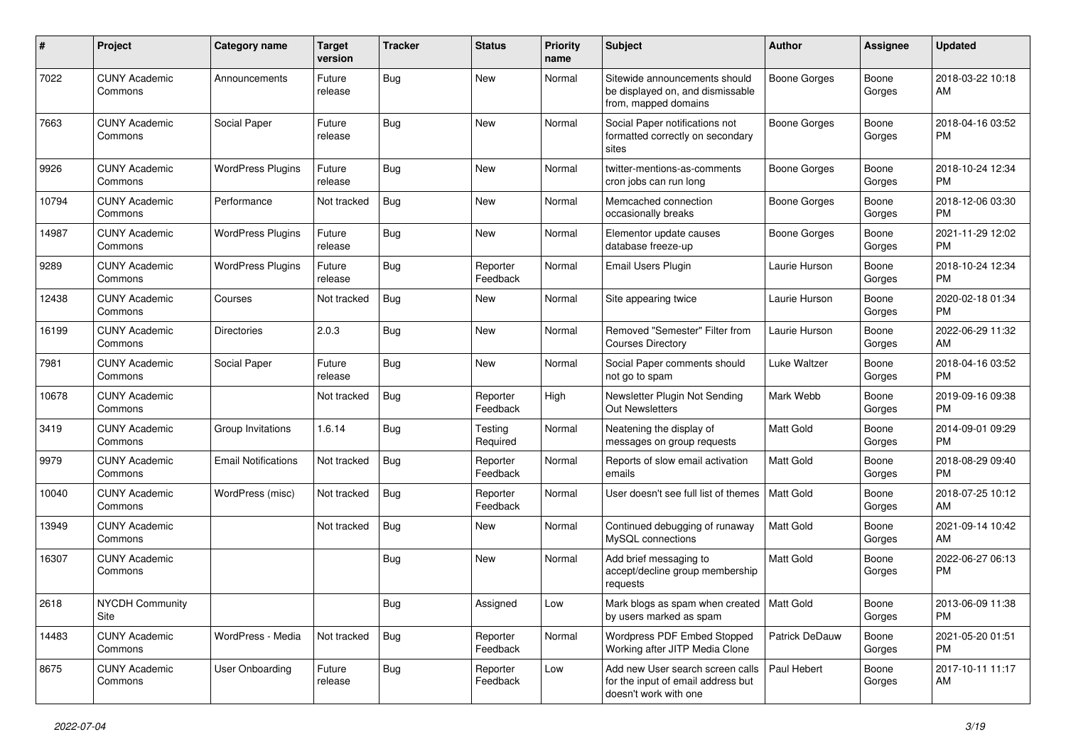| #     | Project                         | <b>Category name</b>       | <b>Target</b><br>version | <b>Tracker</b> | <b>Status</b>        | <b>Priority</b><br>name | <b>Subject</b>                                                                                  | Author              | <b>Assignee</b> | <b>Updated</b>                |
|-------|---------------------------------|----------------------------|--------------------------|----------------|----------------------|-------------------------|-------------------------------------------------------------------------------------------------|---------------------|-----------------|-------------------------------|
| 7022  | <b>CUNY Academic</b><br>Commons | Announcements              | Future<br>release        | Bug            | <b>New</b>           | Normal                  | Sitewide announcements should<br>be displayed on, and dismissable<br>from, mapped domains       | <b>Boone Gorges</b> | Boone<br>Gorges | 2018-03-22 10:18<br>AM        |
| 7663  | <b>CUNY Academic</b><br>Commons | Social Paper               | Future<br>release        | Bug            | New                  | Normal                  | Social Paper notifications not<br>formatted correctly on secondary<br>sites                     | <b>Boone Gorges</b> | Boone<br>Gorges | 2018-04-16 03:52<br>PM.       |
| 9926  | <b>CUNY Academic</b><br>Commons | <b>WordPress Plugins</b>   | Future<br>release        | Bug            | <b>New</b>           | Normal                  | twitter-mentions-as-comments<br>cron jobs can run long                                          | <b>Boone Gorges</b> | Boone<br>Gorges | 2018-10-24 12:34<br>PM        |
| 10794 | <b>CUNY Academic</b><br>Commons | Performance                | Not tracked              | Bug            | <b>New</b>           | Normal                  | Memcached connection<br>occasionally breaks                                                     | Boone Gorges        | Boone<br>Gorges | 2018-12-06 03:30<br><b>PM</b> |
| 14987 | <b>CUNY Academic</b><br>Commons | <b>WordPress Plugins</b>   | Future<br>release        | Bug            | <b>New</b>           | Normal                  | Elementor update causes<br>database freeze-up                                                   | <b>Boone Gorges</b> | Boone<br>Gorges | 2021-11-29 12:02<br><b>PM</b> |
| 9289  | <b>CUNY Academic</b><br>Commons | <b>WordPress Plugins</b>   | Future<br>release        | Bug            | Reporter<br>Feedback | Normal                  | Email Users Plugin                                                                              | Laurie Hurson       | Boone<br>Gorges | 2018-10-24 12:34<br><b>PM</b> |
| 12438 | <b>CUNY Academic</b><br>Commons | Courses                    | Not tracked              | Bug            | New                  | Normal                  | Site appearing twice                                                                            | Laurie Hurson       | Boone<br>Gorges | 2020-02-18 01:34<br><b>PM</b> |
| 16199 | <b>CUNY Academic</b><br>Commons | <b>Directories</b>         | 2.0.3                    | Bug            | New                  | Normal                  | Removed "Semester" Filter from<br><b>Courses Directory</b>                                      | Laurie Hurson       | Boone<br>Gorges | 2022-06-29 11:32<br>AM        |
| 7981  | <b>CUNY Academic</b><br>Commons | Social Paper               | Future<br>release        | Bug            | <b>New</b>           | Normal                  | Social Paper comments should<br>not go to spam                                                  | Luke Waltzer        | Boone<br>Gorges | 2018-04-16 03:52<br><b>PM</b> |
| 10678 | <b>CUNY Academic</b><br>Commons |                            | Not tracked              | Bug            | Reporter<br>Feedback | High                    | Newsletter Plugin Not Sending<br>Out Newsletters                                                | Mark Webb           | Boone<br>Gorges | 2019-09-16 09:38<br><b>PM</b> |
| 3419  | <b>CUNY Academic</b><br>Commons | Group Invitations          | 1.6.14                   | <b>Bug</b>     | Testing<br>Required  | Normal                  | Neatening the display of<br>messages on group requests                                          | <b>Matt Gold</b>    | Boone<br>Gorges | 2014-09-01 09:29<br><b>PM</b> |
| 9979  | <b>CUNY Academic</b><br>Commons | <b>Email Notifications</b> | Not tracked              | Bug            | Reporter<br>Feedback | Normal                  | Reports of slow email activation<br>emails                                                      | <b>Matt Gold</b>    | Boone<br>Gorges | 2018-08-29 09:40<br><b>PM</b> |
| 10040 | <b>CUNY Academic</b><br>Commons | WordPress (misc)           | Not tracked              | Bug            | Reporter<br>Feedback | Normal                  | User doesn't see full list of themes                                                            | <b>Matt Gold</b>    | Boone<br>Gorges | 2018-07-25 10:12<br>AM        |
| 13949 | <b>CUNY Academic</b><br>Commons |                            | Not tracked              | Bug            | <b>New</b>           | Normal                  | Continued debugging of runaway<br>MySQL connections                                             | Matt Gold           | Boone<br>Gorges | 2021-09-14 10:42<br>AM        |
| 16307 | <b>CUNY Academic</b><br>Commons |                            |                          | Bug            | New                  | Normal                  | Add brief messaging to<br>accept/decline group membership<br>requests                           | Matt Gold           | Boone<br>Gorges | 2022-06-27 06:13<br><b>PM</b> |
| 2618  | NYCDH Community<br>Site         |                            |                          | <b>Bug</b>     | Assigned             | Low                     | Mark blogs as spam when created   Matt Gold<br>by users marked as spam                          |                     | Boone<br>Gorges | 2013-06-09 11:38<br><b>PM</b> |
| 14483 | <b>CUNY Academic</b><br>Commons | WordPress - Media          | Not tracked              | <b>Bug</b>     | Reporter<br>Feedback | Normal                  | Wordpress PDF Embed Stopped<br>Working after JITP Media Clone                                   | Patrick DeDauw      | Boone<br>Gorges | 2021-05-20 01:51<br><b>PM</b> |
| 8675  | <b>CUNY Academic</b><br>Commons | <b>User Onboarding</b>     | Future<br>release        | Bug            | Reporter<br>Feedback | Low                     | Add new User search screen calls<br>for the input of email address but<br>doesn't work with one | Paul Hebert         | Boone<br>Gorges | 2017-10-11 11:17<br>AM        |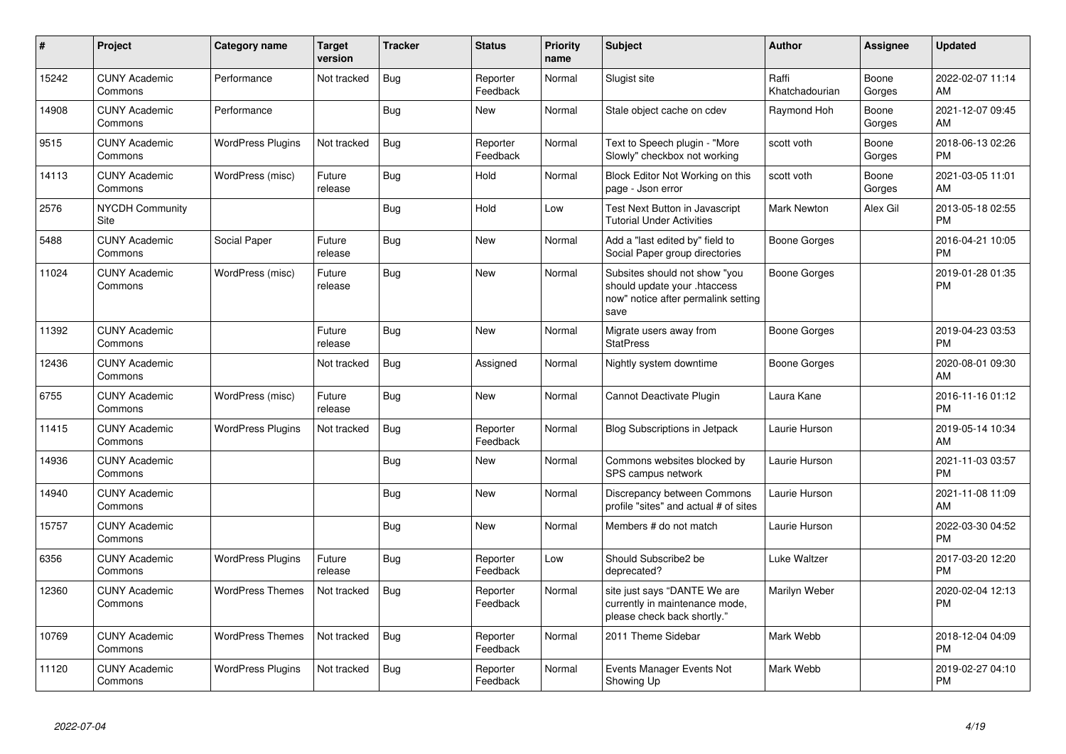| #     | Project                         | <b>Category name</b>     | <b>Target</b><br>version | <b>Tracker</b> | <b>Status</b>        | <b>Priority</b><br>name | <b>Subject</b>                                                                                               | <b>Author</b>           | <b>Assignee</b> | <b>Updated</b>                |
|-------|---------------------------------|--------------------------|--------------------------|----------------|----------------------|-------------------------|--------------------------------------------------------------------------------------------------------------|-------------------------|-----------------|-------------------------------|
| 15242 | <b>CUNY Academic</b><br>Commons | Performance              | Not tracked              | Bug            | Reporter<br>Feedback | Normal                  | Slugist site                                                                                                 | Raffi<br>Khatchadourian | Boone<br>Gorges | 2022-02-07 11:14<br>AM        |
| 14908 | <b>CUNY Academic</b><br>Commons | Performance              |                          | Bug            | New                  | Normal                  | Stale object cache on cdev                                                                                   | Raymond Hoh             | Boone<br>Gorges | 2021-12-07 09:45<br>AM        |
| 9515  | <b>CUNY Academic</b><br>Commons | <b>WordPress Plugins</b> | Not tracked              | Bug            | Reporter<br>Feedback | Normal                  | Text to Speech plugin - "More<br>Slowly" checkbox not working                                                | scott voth              | Boone<br>Gorges | 2018-06-13 02:26<br><b>PM</b> |
| 14113 | <b>CUNY Academic</b><br>Commons | WordPress (misc)         | Future<br>release        | Bug            | Hold                 | Normal                  | Block Editor Not Working on this<br>page - Json error                                                        | scott voth              | Boone<br>Gorges | 2021-03-05 11:01<br>AM        |
| 2576  | <b>NYCDH Community</b><br>Site  |                          |                          | Bug            | Hold                 | Low                     | Test Next Button in Javascript<br><b>Tutorial Under Activities</b>                                           | <b>Mark Newton</b>      | Alex Gil        | 2013-05-18 02:55<br><b>PM</b> |
| 5488  | <b>CUNY Academic</b><br>Commons | Social Paper             | Future<br>release        | <b>Bug</b>     | <b>New</b>           | Normal                  | Add a "last edited by" field to<br>Social Paper group directories                                            | Boone Gorges            |                 | 2016-04-21 10:05<br><b>PM</b> |
| 11024 | <b>CUNY Academic</b><br>Commons | WordPress (misc)         | Future<br>release        | Bug            | <b>New</b>           | Normal                  | Subsites should not show "you<br>should update your .htaccess<br>now" notice after permalink setting<br>save | Boone Gorges            |                 | 2019-01-28 01:35<br><b>PM</b> |
| 11392 | <b>CUNY Academic</b><br>Commons |                          | Future<br>release        | Bug            | New                  | Normal                  | Migrate users away from<br><b>StatPress</b>                                                                  | <b>Boone Gorges</b>     |                 | 2019-04-23 03:53<br><b>PM</b> |
| 12436 | <b>CUNY Academic</b><br>Commons |                          | Not tracked              | Bug            | Assigned             | Normal                  | Nightly system downtime                                                                                      | Boone Gorges            |                 | 2020-08-01 09:30<br>AM        |
| 6755  | <b>CUNY Academic</b><br>Commons | WordPress (misc)         | Future<br>release        | Bug            | <b>New</b>           | Normal                  | Cannot Deactivate Plugin                                                                                     | Laura Kane              |                 | 2016-11-16 01:12<br><b>PM</b> |
| 11415 | <b>CUNY Academic</b><br>Commons | <b>WordPress Plugins</b> | Not tracked              | Bug            | Reporter<br>Feedback | Normal                  | <b>Blog Subscriptions in Jetpack</b>                                                                         | Laurie Hurson           |                 | 2019-05-14 10:34<br>AM        |
| 14936 | <b>CUNY Academic</b><br>Commons |                          |                          | Bug            | <b>New</b>           | Normal                  | Commons websites blocked by<br>SPS campus network                                                            | Laurie Hurson           |                 | 2021-11-03 03:57<br><b>PM</b> |
| 14940 | <b>CUNY Academic</b><br>Commons |                          |                          | <b>Bug</b>     | <b>New</b>           | Normal                  | Discrepancy between Commons<br>profile "sites" and actual # of sites                                         | Laurie Hurson           |                 | 2021-11-08 11:09<br>AM        |
| 15757 | <b>CUNY Academic</b><br>Commons |                          |                          | Bug            | New                  | Normal                  | Members # do not match                                                                                       | Laurie Hurson           |                 | 2022-03-30 04:52<br><b>PM</b> |
| 6356  | <b>CUNY Academic</b><br>Commons | <b>WordPress Plugins</b> | Future<br>release        | Bug            | Reporter<br>Feedback | Low                     | Should Subscribe2 be<br>deprecated?                                                                          | Luke Waltzer            |                 | 2017-03-20 12:20<br><b>PM</b> |
| 12360 | <b>CUNY Academic</b><br>Commons | <b>WordPress Themes</b>  | Not tracked              | <b>Bug</b>     | Reporter<br>Feedback | Normal                  | site just says "DANTE We are<br>currently in maintenance mode,<br>please check back shortly."                | Marilyn Weber           |                 | 2020-02-04 12:13<br><b>PM</b> |
| 10769 | <b>CUNY Academic</b><br>Commons | <b>WordPress Themes</b>  | Not tracked              | Bug            | Reporter<br>Feedback | Normal                  | 2011 Theme Sidebar                                                                                           | Mark Webb               |                 | 2018-12-04 04:09<br><b>PM</b> |
| 11120 | <b>CUNY Academic</b><br>Commons | <b>WordPress Plugins</b> | Not tracked              | Bug            | Reporter<br>Feedback | Normal                  | Events Manager Events Not<br>Showing Up                                                                      | Mark Webb               |                 | 2019-02-27 04:10<br><b>PM</b> |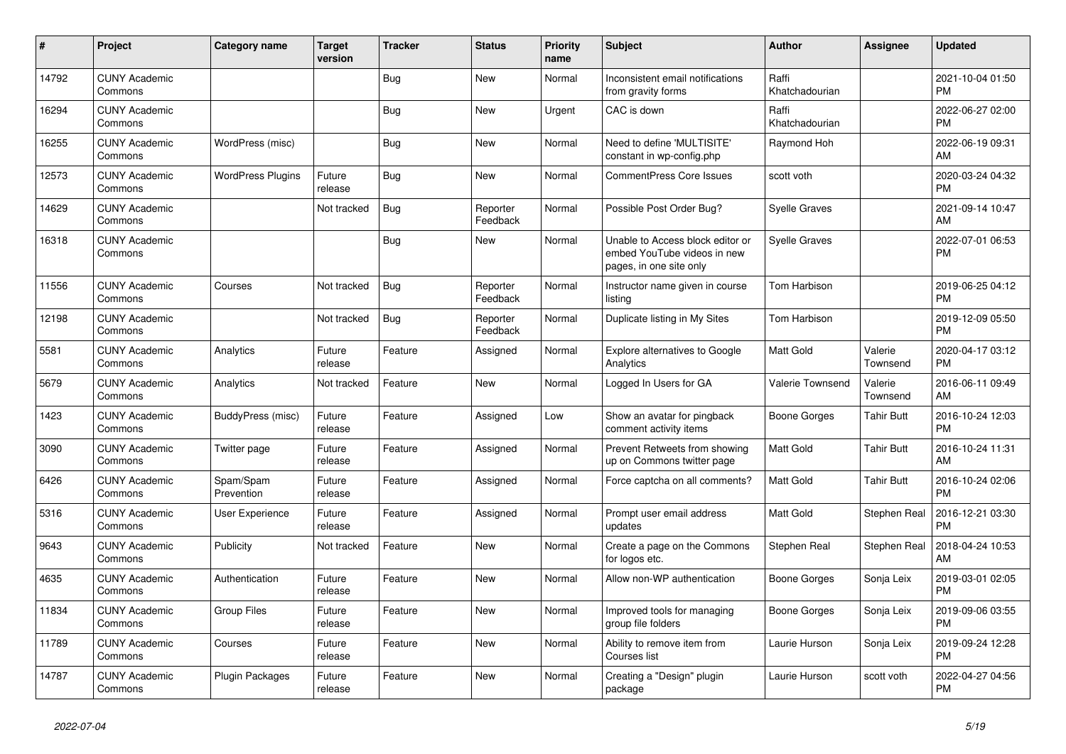| #     | Project                         | <b>Category name</b>     | <b>Target</b><br>version | <b>Tracker</b> | <b>Status</b>        | <b>Priority</b><br>name | <b>Subject</b>                                                                             | <b>Author</b>           | <b>Assignee</b>     | <b>Updated</b>                |
|-------|---------------------------------|--------------------------|--------------------------|----------------|----------------------|-------------------------|--------------------------------------------------------------------------------------------|-------------------------|---------------------|-------------------------------|
| 14792 | <b>CUNY Academic</b><br>Commons |                          |                          | Bug            | New                  | Normal                  | Inconsistent email notifications<br>from gravity forms                                     | Raffi<br>Khatchadourian |                     | 2021-10-04 01:50<br><b>PM</b> |
| 16294 | <b>CUNY Academic</b><br>Commons |                          |                          | Bug            | New                  | Urgent                  | CAC is down                                                                                | Raffi<br>Khatchadourian |                     | 2022-06-27 02:00<br><b>PM</b> |
| 16255 | <b>CUNY Academic</b><br>Commons | WordPress (misc)         |                          | Bug            | <b>New</b>           | Normal                  | Need to define 'MULTISITE'<br>constant in wp-config.php                                    | Raymond Hoh             |                     | 2022-06-19 09:31<br>AM        |
| 12573 | <b>CUNY Academic</b><br>Commons | <b>WordPress Plugins</b> | Future<br>release        | Bug            | <b>New</b>           | Normal                  | <b>CommentPress Core Issues</b>                                                            | scott voth              |                     | 2020-03-24 04:32<br><b>PM</b> |
| 14629 | <b>CUNY Academic</b><br>Commons |                          | Not tracked              | <b>Bug</b>     | Reporter<br>Feedback | Normal                  | Possible Post Order Bug?                                                                   | Syelle Graves           |                     | 2021-09-14 10:47<br>AM        |
| 16318 | <b>CUNY Academic</b><br>Commons |                          |                          | Bug            | New                  | Normal                  | Unable to Access block editor or<br>embed YouTube videos in new<br>pages, in one site only | <b>Syelle Graves</b>    |                     | 2022-07-01 06:53<br><b>PM</b> |
| 11556 | <b>CUNY Academic</b><br>Commons | Courses                  | Not tracked              | <b>Bug</b>     | Reporter<br>Feedback | Normal                  | Instructor name given in course<br>listing                                                 | Tom Harbison            |                     | 2019-06-25 04:12<br><b>PM</b> |
| 12198 | <b>CUNY Academic</b><br>Commons |                          | Not tracked              | Bug            | Reporter<br>Feedback | Normal                  | Duplicate listing in My Sites                                                              | Tom Harbison            |                     | 2019-12-09 05:50<br><b>PM</b> |
| 5581  | <b>CUNY Academic</b><br>Commons | Analytics                | Future<br>release        | Feature        | Assigned             | Normal                  | <b>Explore alternatives to Google</b><br>Analytics                                         | <b>Matt Gold</b>        | Valerie<br>Townsend | 2020-04-17 03:12<br><b>PM</b> |
| 5679  | <b>CUNY Academic</b><br>Commons | Analytics                | Not tracked              | Feature        | <b>New</b>           | Normal                  | Logged In Users for GA                                                                     | Valerie Townsend        | Valerie<br>Townsend | 2016-06-11 09:49<br>AM        |
| 1423  | <b>CUNY Academic</b><br>Commons | BuddyPress (misc)        | Future<br>release        | Feature        | Assigned             | Low                     | Show an avatar for pingback<br>comment activity items                                      | Boone Gorges            | Tahir Butt          | 2016-10-24 12:03<br><b>PM</b> |
| 3090  | <b>CUNY Academic</b><br>Commons | Twitter page             | Future<br>release        | Feature        | Assigned             | Normal                  | Prevent Retweets from showing<br>up on Commons twitter page                                | <b>Matt Gold</b>        | <b>Tahir Butt</b>   | 2016-10-24 11:31<br>AM        |
| 6426  | <b>CUNY Academic</b><br>Commons | Spam/Spam<br>Prevention  | Future<br>release        | Feature        | Assigned             | Normal                  | Force captcha on all comments?                                                             | <b>Matt Gold</b>        | <b>Tahir Butt</b>   | 2016-10-24 02:06<br><b>PM</b> |
| 5316  | <b>CUNY Academic</b><br>Commons | User Experience          | Future<br>release        | Feature        | Assigned             | Normal                  | Prompt user email address<br>updates                                                       | <b>Matt Gold</b>        | Stephen Real        | 2016-12-21 03:30<br><b>PM</b> |
| 9643  | <b>CUNY Academic</b><br>Commons | Publicity                | Not tracked              | Feature        | New                  | Normal                  | Create a page on the Commons<br>for logos etc.                                             | Stephen Real            | Stephen Real        | 2018-04-24 10:53<br>AM        |
| 4635  | <b>CUNY Academic</b><br>Commons | Authentication           | Future<br>release        | Feature        | <b>New</b>           | Normal                  | Allow non-WP authentication                                                                | Boone Gorges            | Sonja Leix          | 2019-03-01 02:05<br><b>PM</b> |
| 11834 | <b>CUNY Academic</b><br>Commons | <b>Group Files</b>       | Future<br>release        | Feature        | <b>New</b>           | Normal                  | Improved tools for managing<br>group file folders                                          | Boone Gorges            | Sonja Leix          | 2019-09-06 03:55<br><b>PM</b> |
| 11789 | <b>CUNY Academic</b><br>Commons | Courses                  | Future<br>release        | Feature        | New                  | Normal                  | Ability to remove item from<br>Courses list                                                | Laurie Hurson           | Sonja Leix          | 2019-09-24 12:28<br><b>PM</b> |
| 14787 | <b>CUNY Academic</b><br>Commons | Plugin Packages          | Future<br>release        | Feature        | <b>New</b>           | Normal                  | Creating a "Design" plugin<br>package                                                      | Laurie Hurson           | scott voth          | 2022-04-27 04:56<br><b>PM</b> |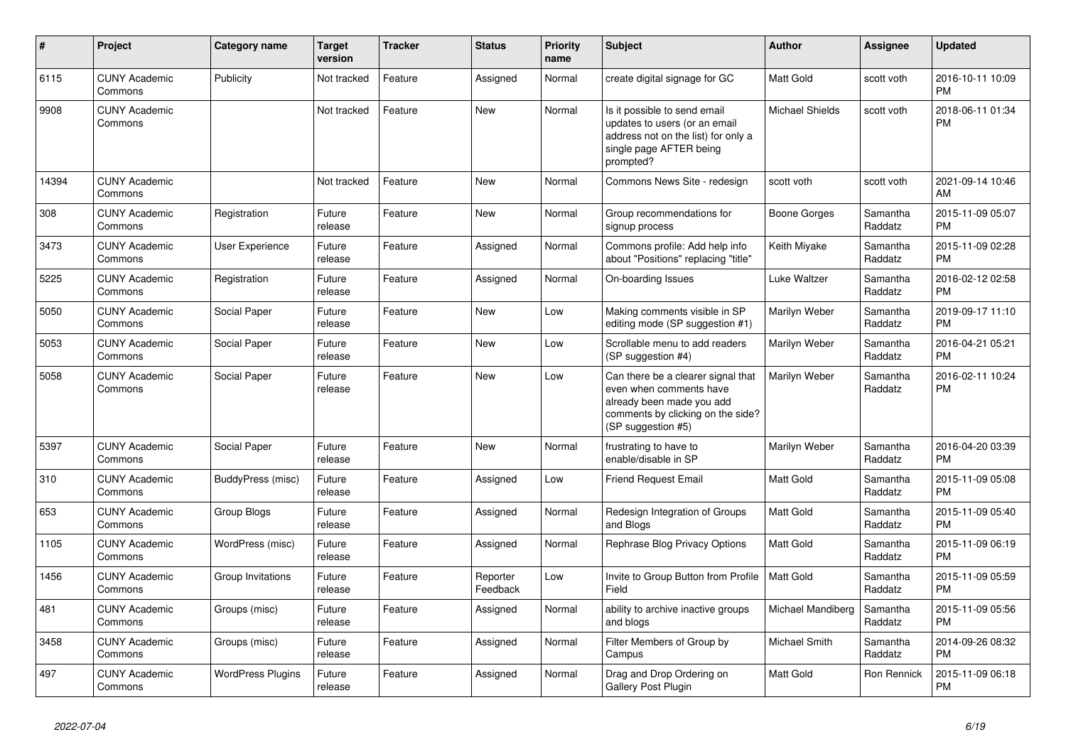| #     | <b>Project</b>                  | Category name            | <b>Target</b><br>version | <b>Tracker</b> | <b>Status</b>        | <b>Priority</b><br>name | <b>Subject</b>                                                                                                                                        | <b>Author</b>          | <b>Assignee</b>     | <b>Updated</b>                |
|-------|---------------------------------|--------------------------|--------------------------|----------------|----------------------|-------------------------|-------------------------------------------------------------------------------------------------------------------------------------------------------|------------------------|---------------------|-------------------------------|
| 6115  | <b>CUNY Academic</b><br>Commons | Publicity                | Not tracked              | Feature        | Assigned             | Normal                  | create digital signage for GC                                                                                                                         | <b>Matt Gold</b>       | scott voth          | 2016-10-11 10:09<br><b>PM</b> |
| 9908  | <b>CUNY Academic</b><br>Commons |                          | Not tracked              | Feature        | <b>New</b>           | Normal                  | Is it possible to send email<br>updates to users (or an email<br>address not on the list) for only a<br>single page AFTER being<br>prompted?          | <b>Michael Shields</b> | scott voth          | 2018-06-11 01:34<br><b>PM</b> |
| 14394 | <b>CUNY Academic</b><br>Commons |                          | Not tracked              | Feature        | New                  | Normal                  | Commons News Site - redesign                                                                                                                          | scott voth             | scott voth          | 2021-09-14 10:46<br>AM        |
| 308   | <b>CUNY Academic</b><br>Commons | Registration             | Future<br>release        | Feature        | <b>New</b>           | Normal                  | Group recommendations for<br>signup process                                                                                                           | Boone Gorges           | Samantha<br>Raddatz | 2015-11-09 05:07<br><b>PM</b> |
| 3473  | <b>CUNY Academic</b><br>Commons | User Experience          | Future<br>release        | Feature        | Assigned             | Normal                  | Commons profile: Add help info<br>about "Positions" replacing "title"                                                                                 | Keith Miyake           | Samantha<br>Raddatz | 2015-11-09 02:28<br><b>PM</b> |
| 5225  | <b>CUNY Academic</b><br>Commons | Registration             | Future<br>release        | Feature        | Assigned             | Normal                  | On-boarding Issues                                                                                                                                    | Luke Waltzer           | Samantha<br>Raddatz | 2016-02-12 02:58<br><b>PM</b> |
| 5050  | <b>CUNY Academic</b><br>Commons | Social Paper             | Future<br>release        | Feature        | <b>New</b>           | Low                     | Making comments visible in SP<br>editing mode (SP suggestion #1)                                                                                      | Marilyn Weber          | Samantha<br>Raddatz | 2019-09-17 11:10<br><b>PM</b> |
| 5053  | <b>CUNY Academic</b><br>Commons | Social Paper             | Future<br>release        | Feature        | <b>New</b>           | Low                     | Scrollable menu to add readers<br>(SP suggestion #4)                                                                                                  | Marilyn Weber          | Samantha<br>Raddatz | 2016-04-21 05:21<br><b>PM</b> |
| 5058  | <b>CUNY Academic</b><br>Commons | Social Paper             | Future<br>release        | Feature        | <b>New</b>           | Low                     | Can there be a clearer signal that<br>even when comments have<br>already been made you add<br>comments by clicking on the side?<br>(SP suggestion #5) | Marilyn Weber          | Samantha<br>Raddatz | 2016-02-11 10:24<br><b>PM</b> |
| 5397  | <b>CUNY Academic</b><br>Commons | Social Paper             | Future<br>release        | Feature        | <b>New</b>           | Normal                  | frustrating to have to<br>enable/disable in SP                                                                                                        | Marilyn Weber          | Samantha<br>Raddatz | 2016-04-20 03:39<br><b>PM</b> |
| 310   | <b>CUNY Academic</b><br>Commons | BuddyPress (misc)        | Future<br>release        | Feature        | Assigned             | Low                     | <b>Friend Request Email</b>                                                                                                                           | <b>Matt Gold</b>       | Samantha<br>Raddatz | 2015-11-09 05:08<br><b>PM</b> |
| 653   | <b>CUNY Academic</b><br>Commons | Group Blogs              | Future<br>release        | Feature        | Assigned             | Normal                  | Redesign Integration of Groups<br>and Blogs                                                                                                           | Matt Gold              | Samantha<br>Raddatz | 2015-11-09 05:40<br><b>PM</b> |
| 1105  | <b>CUNY Academic</b><br>Commons | WordPress (misc)         | Future<br>release        | Feature        | Assigned             | Normal                  | Rephrase Blog Privacy Options                                                                                                                         | <b>Matt Gold</b>       | Samantha<br>Raddatz | 2015-11-09 06:19<br><b>PM</b> |
| 1456  | <b>CUNY Academic</b><br>Commons | Group Invitations        | Future<br>release        | Feature        | Reporter<br>Feedback | Low                     | Invite to Group Button from Profile<br>Field                                                                                                          | Matt Gold              | Samantha<br>Raddatz | 2015-11-09 05:59<br><b>PM</b> |
| 481   | <b>CUNY Academic</b><br>Commons | Groups (misc)            | Future<br>release        | Feature        | Assigned             | Normal                  | ability to archive inactive groups<br>and blogs                                                                                                       | Michael Mandiberg      | Samantha<br>Raddatz | 2015-11-09 05:56<br><b>PM</b> |
| 3458  | <b>CUNY Academic</b><br>Commons | Groups (misc)            | Future<br>release        | Feature        | Assigned             | Normal                  | Filter Members of Group by<br>Campus                                                                                                                  | Michael Smith          | Samantha<br>Raddatz | 2014-09-26 08:32<br><b>PM</b> |
| 497   | <b>CUNY Academic</b><br>Commons | <b>WordPress Plugins</b> | Future<br>release        | Feature        | Assigned             | Normal                  | Drag and Drop Ordering on<br><b>Gallery Post Plugin</b>                                                                                               | <b>Matt Gold</b>       | Ron Rennick         | 2015-11-09 06:18<br><b>PM</b> |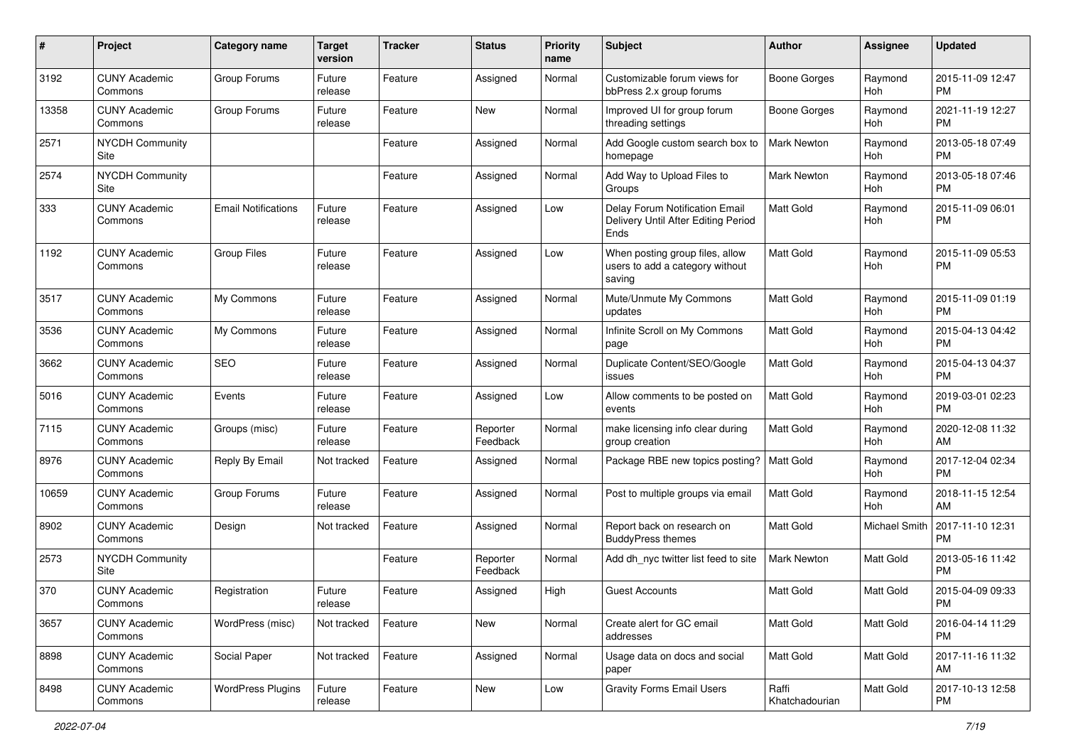| #     | Project                         | <b>Category name</b>       | <b>Target</b><br>version | <b>Tracker</b> | <b>Status</b>        | <b>Priority</b><br>name | Subject                                                                       | Author                  | <b>Assignee</b> | <b>Updated</b>                |
|-------|---------------------------------|----------------------------|--------------------------|----------------|----------------------|-------------------------|-------------------------------------------------------------------------------|-------------------------|-----------------|-------------------------------|
| 3192  | <b>CUNY Academic</b><br>Commons | Group Forums               | Future<br>release        | Feature        | Assigned             | Normal                  | Customizable forum views for<br>bbPress 2.x group forums                      | Boone Gorges            | Raymond<br>Hoh  | 2015-11-09 12:47<br><b>PM</b> |
| 13358 | <b>CUNY Academic</b><br>Commons | Group Forums               | Future<br>release        | Feature        | New                  | Normal                  | Improved UI for group forum<br>threading settings                             | <b>Boone Gorges</b>     | Raymond<br>Hoh  | 2021-11-19 12:27<br><b>PM</b> |
| 2571  | <b>NYCDH Community</b><br>Site  |                            |                          | Feature        | Assigned             | Normal                  | Add Google custom search box to<br>homepage                                   | Mark Newton             | Raymond<br>Hoh  | 2013-05-18 07:49<br><b>PM</b> |
| 2574  | <b>NYCDH Community</b><br>Site  |                            |                          | Feature        | Assigned             | Normal                  | Add Way to Upload Files to<br>Groups                                          | Mark Newton             | Raymond<br>Hoh  | 2013-05-18 07:46<br><b>PM</b> |
| 333   | <b>CUNY Academic</b><br>Commons | <b>Email Notifications</b> | Future<br>release        | Feature        | Assigned             | Low                     | Delay Forum Notification Email<br>Delivery Until After Editing Period<br>Ends | <b>Matt Gold</b>        | Raymond<br>Hoh  | 2015-11-09 06:01<br><b>PM</b> |
| 1192  | <b>CUNY Academic</b><br>Commons | <b>Group Files</b>         | Future<br>release        | Feature        | Assigned             | Low                     | When posting group files, allow<br>users to add a category without<br>saving  | <b>Matt Gold</b>        | Raymond<br>Hoh  | 2015-11-09 05:53<br><b>PM</b> |
| 3517  | <b>CUNY Academic</b><br>Commons | My Commons                 | Future<br>release        | Feature        | Assigned             | Normal                  | Mute/Unmute My Commons<br>updates                                             | <b>Matt Gold</b>        | Raymond<br>Hoh  | 2015-11-09 01:19<br><b>PM</b> |
| 3536  | <b>CUNY Academic</b><br>Commons | My Commons                 | Future<br>release        | Feature        | Assigned             | Normal                  | Infinite Scroll on My Commons<br>page                                         | Matt Gold               | Raymond<br>Hoh  | 2015-04-13 04:42<br><b>PM</b> |
| 3662  | <b>CUNY Academic</b><br>Commons | <b>SEO</b>                 | Future<br>release        | Feature        | Assigned             | Normal                  | Duplicate Content/SEO/Google<br>issues                                        | <b>Matt Gold</b>        | Raymond<br>Hoh  | 2015-04-13 04:37<br><b>PM</b> |
| 5016  | <b>CUNY Academic</b><br>Commons | Events                     | Future<br>release        | Feature        | Assigned             | Low                     | Allow comments to be posted on<br>events                                      | <b>Matt Gold</b>        | Raymond<br>Hoh  | 2019-03-01 02:23<br><b>PM</b> |
| 7115  | <b>CUNY Academic</b><br>Commons | Groups (misc)              | Future<br>release        | Feature        | Reporter<br>Feedback | Normal                  | make licensing info clear during<br>group creation                            | <b>Matt Gold</b>        | Raymond<br>Hoh  | 2020-12-08 11:32<br>AM        |
| 8976  | <b>CUNY Academic</b><br>Commons | Reply By Email             | Not tracked              | Feature        | Assigned             | Normal                  | Package RBE new topics posting?                                               | <b>Matt Gold</b>        | Raymond<br>Hoh  | 2017-12-04 02:34<br><b>PM</b> |
| 10659 | <b>CUNY Academic</b><br>Commons | Group Forums               | Future<br>release        | Feature        | Assigned             | Normal                  | Post to multiple groups via email                                             | <b>Matt Gold</b>        | Raymond<br>Hoh  | 2018-11-15 12:54<br>AM        |
| 8902  | <b>CUNY Academic</b><br>Commons | Design                     | Not tracked              | Feature        | Assigned             | Normal                  | Report back on research on<br><b>BuddyPress themes</b>                        | Matt Gold               | Michael Smith   | 2017-11-10 12:31<br><b>PM</b> |
| 2573  | NYCDH Community<br>Site         |                            |                          | Feature        | Reporter<br>Feedback | Normal                  | Add dh nyc twitter list feed to site                                          | <b>Mark Newton</b>      | Matt Gold       | 2013-05-16 11:42<br><b>PM</b> |
| 370   | <b>CUNY Academic</b><br>Commons | Registration               | Future<br>release        | Feature        | Assigned             | High                    | Guest Accounts                                                                | <b>Matt Gold</b>        | Matt Gold       | 2015-04-09 09:33<br>PM        |
| 3657  | <b>CUNY Academic</b><br>Commons | WordPress (misc)           | Not tracked              | Feature        | New                  | Normal                  | Create alert for GC email<br>addresses                                        | Matt Gold               | Matt Gold       | 2016-04-14 11:29<br><b>PM</b> |
| 8898  | <b>CUNY Academic</b><br>Commons | Social Paper               | Not tracked              | Feature        | Assigned             | Normal                  | Usage data on docs and social<br>paper                                        | <b>Matt Gold</b>        | Matt Gold       | 2017-11-16 11:32<br>AM        |
| 8498  | <b>CUNY Academic</b><br>Commons | <b>WordPress Plugins</b>   | Future<br>release        | Feature        | New                  | Low                     | <b>Gravity Forms Email Users</b>                                              | Raffi<br>Khatchadourian | Matt Gold       | 2017-10-13 12:58<br><b>PM</b> |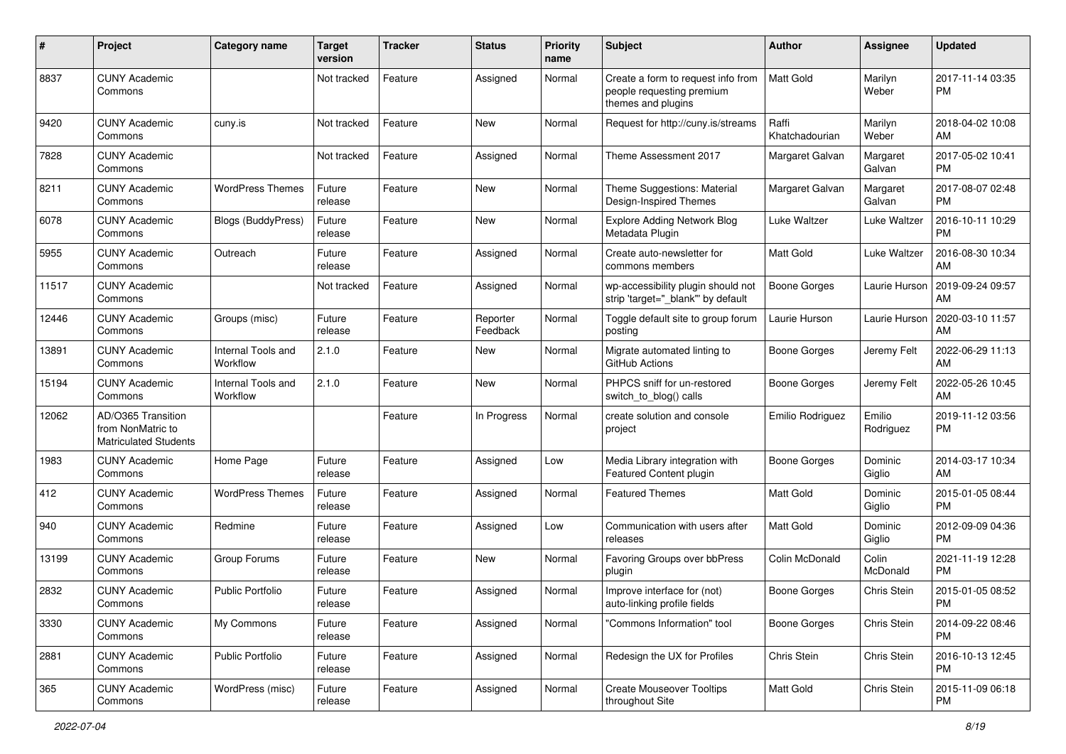| #     | Project                                                                 | <b>Category name</b>           | <b>Target</b><br>version | <b>Tracker</b> | <b>Status</b>        | Priority<br>name | <b>Subject</b>                                                                        | Author                  | <b>Assignee</b>     | <b>Updated</b>                |
|-------|-------------------------------------------------------------------------|--------------------------------|--------------------------|----------------|----------------------|------------------|---------------------------------------------------------------------------------------|-------------------------|---------------------|-------------------------------|
| 8837  | <b>CUNY Academic</b><br>Commons                                         |                                | Not tracked              | Feature        | Assigned             | Normal           | Create a form to request info from<br>people requesting premium<br>themes and plugins | <b>Matt Gold</b>        | Marilyn<br>Weber    | 2017-11-14 03:35<br><b>PM</b> |
| 9420  | <b>CUNY Academic</b><br>Commons                                         | cuny.is                        | Not tracked              | Feature        | New                  | Normal           | Request for http://cuny.is/streams                                                    | Raffi<br>Khatchadourian | Marilyn<br>Weber    | 2018-04-02 10:08<br>AM        |
| 7828  | <b>CUNY Academic</b><br>Commons                                         |                                | Not tracked              | Feature        | Assigned             | Normal           | Theme Assessment 2017                                                                 | Margaret Galvan         | Margaret<br>Galvan  | 2017-05-02 10:41<br><b>PM</b> |
| 8211  | <b>CUNY Academic</b><br>Commons                                         | <b>WordPress Themes</b>        | Future<br>release        | Feature        | New                  | Normal           | Theme Suggestions: Material<br>Design-Inspired Themes                                 | Margaret Galvan         | Margaret<br>Galvan  | 2017-08-07 02:48<br><b>PM</b> |
| 6078  | <b>CUNY Academic</b><br>Commons                                         | <b>Blogs (BuddyPress)</b>      | Future<br>release        | Feature        | <b>New</b>           | Normal           | <b>Explore Adding Network Blog</b><br>Metadata Plugin                                 | Luke Waltzer            | Luke Waltzer        | 2016-10-11 10:29<br><b>PM</b> |
| 5955  | <b>CUNY Academic</b><br>Commons                                         | Outreach                       | Future<br>release        | Feature        | Assigned             | Normal           | Create auto-newsletter for<br>commons members                                         | <b>Matt Gold</b>        | Luke Waltzer        | 2016-08-30 10:34<br>AM        |
| 11517 | <b>CUNY Academic</b><br>Commons                                         |                                | Not tracked              | Feature        | Assigned             | Normal           | wp-accessibility plugin should not<br>strip 'target=" blank" by default               | Boone Gorges            | Laurie Hurson       | 2019-09-24 09:57<br>AM        |
| 12446 | <b>CUNY Academic</b><br>Commons                                         | Groups (misc)                  | Future<br>release        | Feature        | Reporter<br>Feedback | Normal           | Toggle default site to group forum<br>posting                                         | Laurie Hurson           | Laurie Hurson       | 2020-03-10 11:57<br>AM        |
| 13891 | <b>CUNY Academic</b><br>Commons                                         | Internal Tools and<br>Workflow | 2.1.0                    | Feature        | New                  | Normal           | Migrate automated linting to<br>GitHub Actions                                        | Boone Gorges            | Jeremy Felt         | 2022-06-29 11:13<br>AM        |
| 15194 | <b>CUNY Academic</b><br>Commons                                         | Internal Tools and<br>Workflow | 2.1.0                    | Feature        | New                  | Normal           | PHPCS sniff for un-restored<br>switch_to_blog() calls                                 | Boone Gorges            | Jeremy Felt         | 2022-05-26 10:45<br>AM        |
| 12062 | AD/O365 Transition<br>from NonMatric to<br><b>Matriculated Students</b> |                                |                          | Feature        | In Progress          | Normal           | create solution and console<br>project                                                | Emilio Rodriguez        | Emilio<br>Rodriguez | 2019-11-12 03:56<br>PM        |
| 1983  | <b>CUNY Academic</b><br>Commons                                         | Home Page                      | Future<br>release        | Feature        | Assigned             | Low              | Media Library integration with<br>Featured Content plugin                             | Boone Gorges            | Dominic<br>Giglio   | 2014-03-17 10:34<br>AM        |
| 412   | <b>CUNY Academic</b><br>Commons                                         | <b>WordPress Themes</b>        | Future<br>release        | Feature        | Assigned             | Normal           | <b>Featured Themes</b>                                                                | <b>Matt Gold</b>        | Dominic<br>Giglio   | 2015-01-05 08:44<br><b>PM</b> |
| 940   | <b>CUNY Academic</b><br>Commons                                         | Redmine                        | Future<br>release        | Feature        | Assigned             | Low              | Communication with users after<br>releases                                            | <b>Matt Gold</b>        | Dominic<br>Giglio   | 2012-09-09 04:36<br><b>PM</b> |
| 13199 | <b>CUNY Academic</b><br>Commons                                         | Group Forums                   | Future<br>release        | Feature        | New                  | Normal           | Favoring Groups over bbPress<br>plugin                                                | Colin McDonald          | Colin<br>McDonald   | 2021-11-19 12:28<br><b>PM</b> |
| 2832  | <b>CUNY Academic</b><br>Commons                                         | <b>Public Portfolio</b>        | Future<br>release        | Feature        | Assigned             | Normal           | Improve interface for (not)<br>auto-linking profile fields                            | <b>Boone Gorges</b>     | Chris Stein         | 2015-01-05 08:52<br>PM        |
| 3330  | <b>CUNY Academic</b><br>Commons                                         | My Commons                     | Future<br>release        | Feature        | Assigned             | Normal           | "Commons Information" tool                                                            | Boone Gorges            | Chris Stein         | 2014-09-22 08:46<br><b>PM</b> |
| 2881  | <b>CUNY Academic</b><br>Commons                                         | <b>Public Portfolio</b>        | Future<br>release        | Feature        | Assigned             | Normal           | Redesign the UX for Profiles                                                          | Chris Stein             | Chris Stein         | 2016-10-13 12:45<br><b>PM</b> |
| 365   | <b>CUNY Academic</b><br>Commons                                         | WordPress (misc)               | Future<br>release        | Feature        | Assigned             | Normal           | <b>Create Mouseover Tooltips</b><br>throughout Site                                   | Matt Gold               | Chris Stein         | 2015-11-09 06:18<br><b>PM</b> |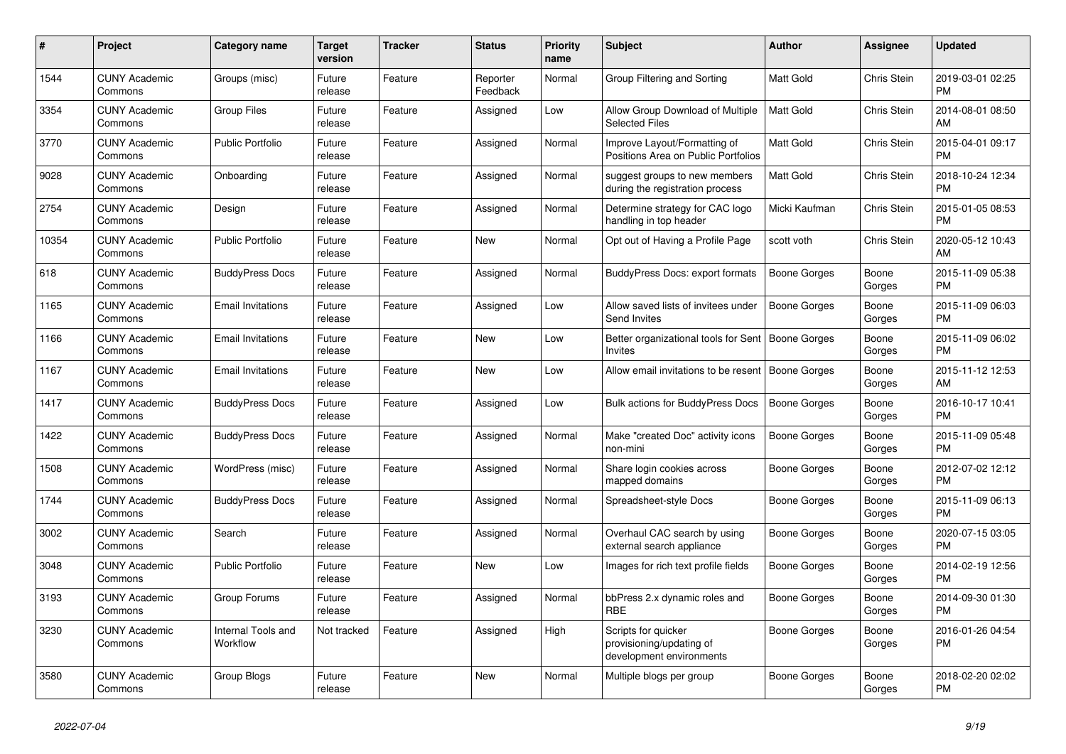| #     | Project                         | Category name                  | <b>Target</b><br>version | Tracker | <b>Status</b>        | <b>Priority</b><br>name | <b>Subject</b>                                                              | <b>Author</b>       | Assignee           | <b>Updated</b>                |
|-------|---------------------------------|--------------------------------|--------------------------|---------|----------------------|-------------------------|-----------------------------------------------------------------------------|---------------------|--------------------|-------------------------------|
| 1544  | <b>CUNY Academic</b><br>Commons | Groups (misc)                  | Future<br>release        | Feature | Reporter<br>Feedback | Normal                  | Group Filtering and Sorting                                                 | <b>Matt Gold</b>    | Chris Stein        | 2019-03-01 02:25<br><b>PM</b> |
| 3354  | <b>CUNY Academic</b><br>Commons | <b>Group Files</b>             | Future<br>release        | Feature | Assigned             | Low                     | Allow Group Download of Multiple<br><b>Selected Files</b>                   | <b>Matt Gold</b>    | Chris Stein        | 2014-08-01 08:50<br>AM        |
| 3770  | <b>CUNY Academic</b><br>Commons | <b>Public Portfolio</b>        | Future<br>release        | Feature | Assigned             | Normal                  | Improve Layout/Formatting of<br>Positions Area on Public Portfolios         | <b>Matt Gold</b>    | <b>Chris Stein</b> | 2015-04-01 09:17<br><b>PM</b> |
| 9028  | <b>CUNY Academic</b><br>Commons | Onboarding                     | Future<br>release        | Feature | Assigned             | Normal                  | suggest groups to new members<br>during the registration process            | <b>Matt Gold</b>    | Chris Stein        | 2018-10-24 12:34<br><b>PM</b> |
| 2754  | <b>CUNY Academic</b><br>Commons | Design                         | Future<br>release        | Feature | Assigned             | Normal                  | Determine strategy for CAC logo<br>handling in top header                   | Micki Kaufman       | Chris Stein        | 2015-01-05 08:53<br><b>PM</b> |
| 10354 | <b>CUNY Academic</b><br>Commons | Public Portfolio               | Future<br>release        | Feature | New                  | Normal                  | Opt out of Having a Profile Page                                            | scott voth          | Chris Stein        | 2020-05-12 10:43<br>AM        |
| 618   | <b>CUNY Academic</b><br>Commons | <b>BuddyPress Docs</b>         | Future<br>release        | Feature | Assigned             | Normal                  | BuddyPress Docs: export formats                                             | <b>Boone Gorges</b> | Boone<br>Gorges    | 2015-11-09 05:38<br><b>PM</b> |
| 1165  | <b>CUNY Academic</b><br>Commons | <b>Email Invitations</b>       | Future<br>release        | Feature | Assigned             | Low                     | Allow saved lists of invitees under<br><b>Send Invites</b>                  | Boone Gorges        | Boone<br>Gorges    | 2015-11-09 06:03<br><b>PM</b> |
| 1166  | <b>CUNY Academic</b><br>Commons | <b>Email Invitations</b>       | Future<br>release        | Feature | New                  | Low                     | Better organizational tools for Sent<br>Invites                             | <b>Boone Gorges</b> | Boone<br>Gorges    | 2015-11-09 06:02<br><b>PM</b> |
| 1167  | <b>CUNY Academic</b><br>Commons | <b>Email Invitations</b>       | Future<br>release        | Feature | <b>New</b>           | Low                     | Allow email invitations to be resent                                        | <b>Boone Gorges</b> | Boone<br>Gorges    | 2015-11-12 12:53<br>AM        |
| 1417  | <b>CUNY Academic</b><br>Commons | <b>BuddyPress Docs</b>         | Future<br>release        | Feature | Assigned             | Low                     | <b>Bulk actions for BuddyPress Docs</b>                                     | <b>Boone Gorges</b> | Boone<br>Gorges    | 2016-10-17 10:41<br><b>PM</b> |
| 1422  | <b>CUNY Academic</b><br>Commons | <b>BuddyPress Docs</b>         | Future<br>release        | Feature | Assigned             | Normal                  | Make "created Doc" activity icons<br>non-mini                               | Boone Gorges        | Boone<br>Gorges    | 2015-11-09 05:48<br><b>PM</b> |
| 1508  | <b>CUNY Academic</b><br>Commons | WordPress (misc)               | Future<br>release        | Feature | Assigned             | Normal                  | Share login cookies across<br>mapped domains                                | Boone Gorges        | Boone<br>Gorges    | 2012-07-02 12:12<br><b>PM</b> |
| 1744  | <b>CUNY Academic</b><br>Commons | <b>BuddyPress Docs</b>         | Future<br>release        | Feature | Assigned             | Normal                  | Spreadsheet-style Docs                                                      | Boone Gorges        | Boone<br>Gorges    | 2015-11-09 06:13<br><b>PM</b> |
| 3002  | <b>CUNY Academic</b><br>Commons | Search                         | Future<br>release        | Feature | Assigned             | Normal                  | Overhaul CAC search by using<br>external search appliance                   | Boone Gorges        | Boone<br>Gorges    | 2020-07-15 03:05<br><b>PM</b> |
| 3048  | <b>CUNY Academic</b><br>Commons | <b>Public Portfolio</b>        | Future<br>release        | Feature | New                  | Low                     | Images for rich text profile fields                                         | Boone Gorges        | Boone<br>Gorges    | 2014-02-19 12:56<br><b>PM</b> |
| 3193  | <b>CUNY Academic</b><br>Commons | Group Forums                   | Future<br>release        | Feature | Assigned             | Normal                  | bbPress 2.x dynamic roles and<br><b>RBE</b>                                 | Boone Gorges        | Boone<br>Gorges    | 2014-09-30 01:30<br><b>PM</b> |
| 3230  | <b>CUNY Academic</b><br>Commons | Internal Tools and<br>Workflow | Not tracked              | Feature | Assigned             | High                    | Scripts for quicker<br>provisioning/updating of<br>development environments | Boone Gorges        | Boone<br>Gorges    | 2016-01-26 04:54<br><b>PM</b> |
| 3580  | <b>CUNY Academic</b><br>Commons | Group Blogs                    | Future<br>release        | Feature | New                  | Normal                  | Multiple blogs per group                                                    | Boone Gorges        | Boone<br>Gorges    | 2018-02-20 02:02<br>PM        |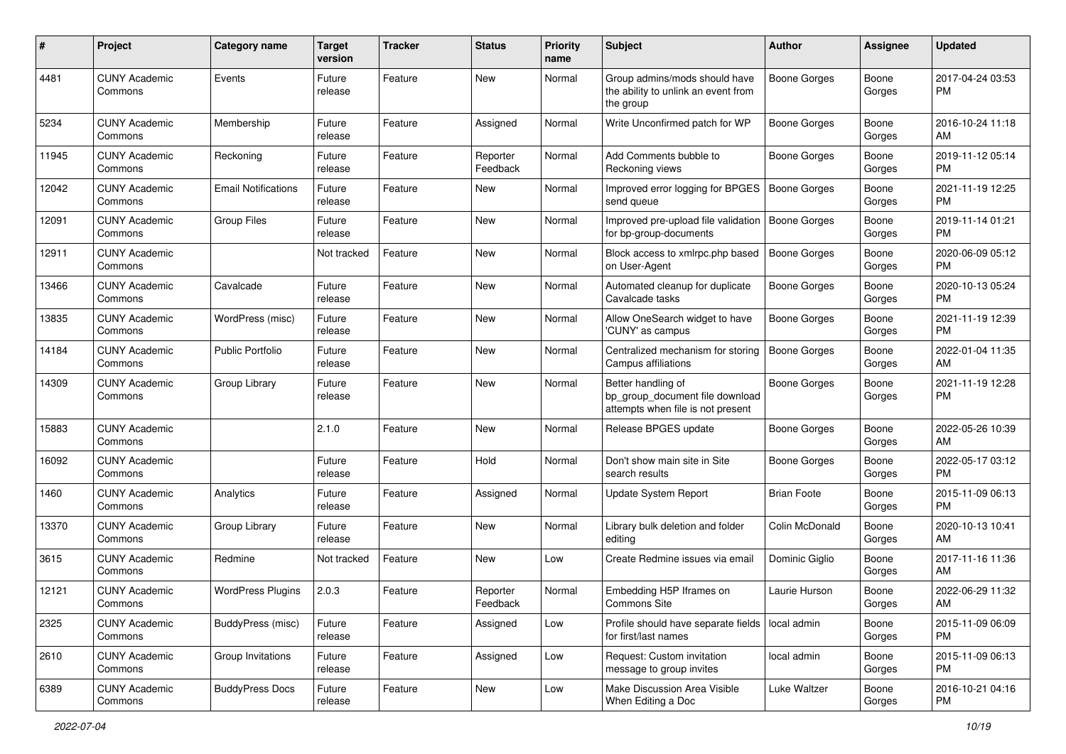| #     | Project                         | <b>Category name</b>       | <b>Target</b><br>version | <b>Tracker</b> | <b>Status</b>        | <b>Priority</b><br>name | Subject                                                                                    | Author              | Assignee        | <b>Updated</b>                |
|-------|---------------------------------|----------------------------|--------------------------|----------------|----------------------|-------------------------|--------------------------------------------------------------------------------------------|---------------------|-----------------|-------------------------------|
| 4481  | <b>CUNY Academic</b><br>Commons | Events                     | Future<br>release        | Feature        | <b>New</b>           | Normal                  | Group admins/mods should have<br>the ability to unlink an event from<br>the group          | <b>Boone Gorges</b> | Boone<br>Gorges | 2017-04-24 03:53<br>PM.       |
| 5234  | <b>CUNY Academic</b><br>Commons | Membership                 | Future<br>release        | Feature        | Assigned             | Normal                  | Write Unconfirmed patch for WP                                                             | <b>Boone Gorges</b> | Boone<br>Gorges | 2016-10-24 11:18<br>AM        |
| 11945 | <b>CUNY Academic</b><br>Commons | Reckoning                  | Future<br>release        | Feature        | Reporter<br>Feedback | Normal                  | Add Comments bubble to<br>Reckoning views                                                  | <b>Boone Gorges</b> | Boone<br>Gorges | 2019-11-12 05:14<br><b>PM</b> |
| 12042 | <b>CUNY Academic</b><br>Commons | <b>Email Notifications</b> | Future<br>release        | Feature        | New                  | Normal                  | Improved error logging for BPGES<br>send queue                                             | Boone Gorges        | Boone<br>Gorges | 2021-11-19 12:25<br><b>PM</b> |
| 12091 | <b>CUNY Academic</b><br>Commons | <b>Group Files</b>         | Future<br>release        | Feature        | New                  | Normal                  | Improved pre-upload file validation<br>for bp-group-documents                              | <b>Boone Gorges</b> | Boone<br>Gorges | 2019-11-14 01:21<br><b>PM</b> |
| 12911 | <b>CUNY Academic</b><br>Commons |                            | Not tracked              | Feature        | New                  | Normal                  | Block access to xmlrpc.php based<br>on User-Agent                                          | <b>Boone Gorges</b> | Boone<br>Gorges | 2020-06-09 05:12<br><b>PM</b> |
| 13466 | <b>CUNY Academic</b><br>Commons | Cavalcade                  | Future<br>release        | Feature        | New                  | Normal                  | Automated cleanup for duplicate<br>Cavalcade tasks                                         | <b>Boone Gorges</b> | Boone<br>Gorges | 2020-10-13 05:24<br><b>PM</b> |
| 13835 | <b>CUNY Academic</b><br>Commons | WordPress (misc)           | Future<br>release        | Feature        | New                  | Normal                  | Allow OneSearch widget to have<br>'CUNY' as campus                                         | <b>Boone Gorges</b> | Boone<br>Gorges | 2021-11-19 12:39<br><b>PM</b> |
| 14184 | <b>CUNY Academic</b><br>Commons | <b>Public Portfolio</b>    | Future<br>release        | Feature        | <b>New</b>           | Normal                  | Centralized mechanism for storing<br>Campus affiliations                                   | <b>Boone Gorges</b> | Boone<br>Gorges | 2022-01-04 11:35<br>AM        |
| 14309 | <b>CUNY Academic</b><br>Commons | Group Library              | Future<br>release        | Feature        | New                  | Normal                  | Better handling of<br>bp group document file download<br>attempts when file is not present | <b>Boone Gorges</b> | Boone<br>Gorges | 2021-11-19 12:28<br><b>PM</b> |
| 15883 | <b>CUNY Academic</b><br>Commons |                            | 2.1.0                    | Feature        | New                  | Normal                  | Release BPGES update                                                                       | Boone Gorges        | Boone<br>Gorges | 2022-05-26 10:39<br>AM        |
| 16092 | <b>CUNY Academic</b><br>Commons |                            | Future<br>release        | Feature        | Hold                 | Normal                  | Don't show main site in Site<br>search results                                             | Boone Gorges        | Boone<br>Gorges | 2022-05-17 03:12<br><b>PM</b> |
| 1460  | <b>CUNY Academic</b><br>Commons | Analytics                  | Future<br>release        | Feature        | Assigned             | Normal                  | Update System Report                                                                       | <b>Brian Foote</b>  | Boone<br>Gorges | 2015-11-09 06:13<br>PM.       |
| 13370 | <b>CUNY Academic</b><br>Commons | Group Library              | Future<br>release        | Feature        | <b>New</b>           | Normal                  | Library bulk deletion and folder<br>editing                                                | Colin McDonald      | Boone<br>Gorges | 2020-10-13 10:41<br>AM        |
| 3615  | <b>CUNY Academic</b><br>Commons | Redmine                    | Not tracked              | Feature        | New                  | Low                     | Create Redmine issues via email                                                            | Dominic Giglio      | Boone<br>Gorges | 2017-11-16 11:36<br>AM        |
| 12121 | <b>CUNY Academic</b><br>Commons | <b>WordPress Plugins</b>   | 2.0.3                    | Feature        | Reporter<br>Feedback | Normal                  | Embedding H5P Iframes on<br>Commons Site                                                   | Laurie Hurson       | Boone<br>Gorges | 2022-06-29 11:32<br>AM        |
| 2325  | <b>CUNY Academic</b><br>Commons | BuddyPress (misc)          | Future<br>release        | Feature        | Assigned             | Low                     | Profile should have separate fields   local admin<br>for first/last names                  |                     | Boone<br>Gorges | 2015-11-09 06:09<br><b>PM</b> |
| 2610  | <b>CUNY Academic</b><br>Commons | Group Invitations          | Future<br>release        | Feature        | Assigned             | Low                     | Request: Custom invitation<br>message to group invites                                     | local admin         | Boone<br>Gorges | 2015-11-09 06:13<br><b>PM</b> |
| 6389  | <b>CUNY Academic</b><br>Commons | <b>BuddyPress Docs</b>     | Future<br>release        | Feature        | New                  | Low                     | Make Discussion Area Visible<br>When Editing a Doc                                         | Luke Waltzer        | Boone<br>Gorges | 2016-10-21 04:16<br>PM        |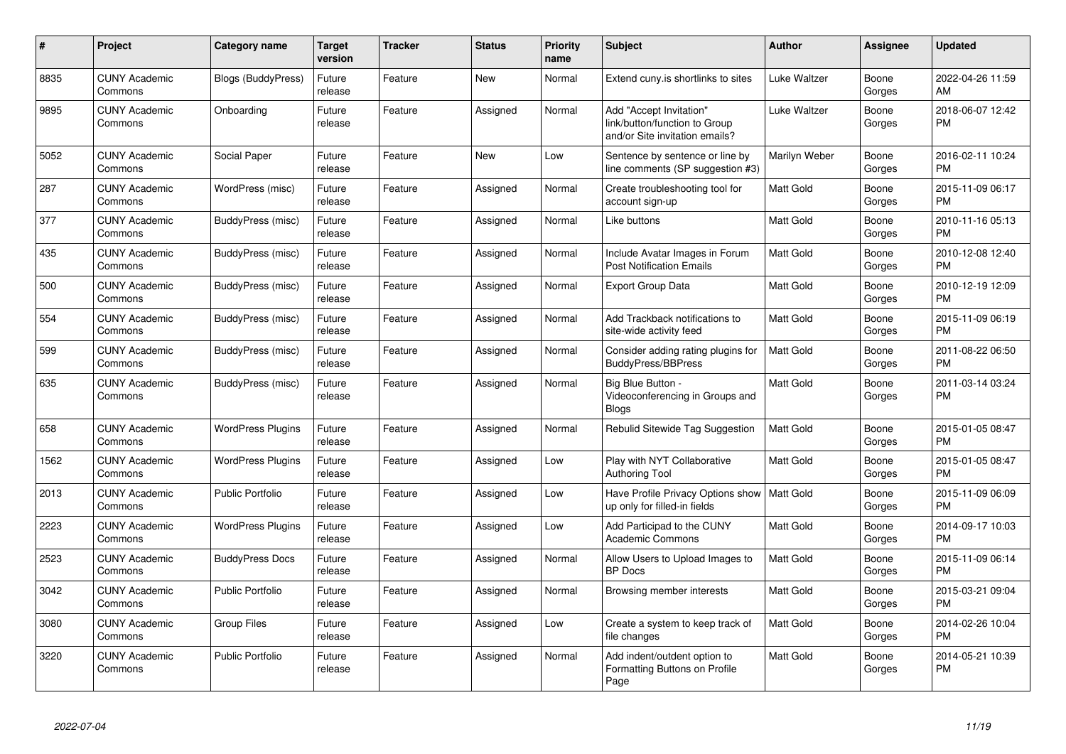| #    | Project                         | <b>Category name</b>      | Target<br>version | <b>Tracker</b> | <b>Status</b> | <b>Priority</b><br>name | <b>Subject</b>                                                                             | <b>Author</b>    | <b>Assignee</b> | <b>Updated</b>                |
|------|---------------------------------|---------------------------|-------------------|----------------|---------------|-------------------------|--------------------------------------------------------------------------------------------|------------------|-----------------|-------------------------------|
| 8835 | <b>CUNY Academic</b><br>Commons | <b>Blogs (BuddyPress)</b> | Future<br>release | Feature        | <b>New</b>    | Normal                  | Extend cuny.is shortlinks to sites                                                         | Luke Waltzer     | Boone<br>Gorges | 2022-04-26 11:59<br>AM        |
| 9895 | <b>CUNY Academic</b><br>Commons | Onboarding                | Future<br>release | Feature        | Assigned      | Normal                  | Add "Accept Invitation"<br>link/button/function to Group<br>and/or Site invitation emails? | Luke Waltzer     | Boone<br>Gorges | 2018-06-07 12:42<br><b>PM</b> |
| 5052 | <b>CUNY Academic</b><br>Commons | Social Paper              | Future<br>release | Feature        | <b>New</b>    | Low                     | Sentence by sentence or line by<br>line comments (SP suggestion #3)                        | Marilyn Weber    | Boone<br>Gorges | 2016-02-11 10:24<br>PM.       |
| 287  | <b>CUNY Academic</b><br>Commons | WordPress (misc)          | Future<br>release | Feature        | Assigned      | Normal                  | Create troubleshooting tool for<br>account sign-up                                         | Matt Gold        | Boone<br>Gorges | 2015-11-09 06:17<br><b>PM</b> |
| 377  | <b>CUNY Academic</b><br>Commons | BuddyPress (misc)         | Future<br>release | Feature        | Assigned      | Normal                  | Like buttons                                                                               | Matt Gold        | Boone<br>Gorges | 2010-11-16 05:13<br><b>PM</b> |
| 435  | <b>CUNY Academic</b><br>Commons | BuddyPress (misc)         | Future<br>release | Feature        | Assigned      | Normal                  | Include Avatar Images in Forum<br><b>Post Notification Emails</b>                          | <b>Matt Gold</b> | Boone<br>Gorges | 2010-12-08 12:40<br><b>PM</b> |
| 500  | <b>CUNY Academic</b><br>Commons | BuddyPress (misc)         | Future<br>release | Feature        | Assigned      | Normal                  | <b>Export Group Data</b>                                                                   | <b>Matt Gold</b> | Boone<br>Gorges | 2010-12-19 12:09<br><b>PM</b> |
| 554  | <b>CUNY Academic</b><br>Commons | BuddyPress (misc)         | Future<br>release | Feature        | Assigned      | Normal                  | Add Trackback notifications to<br>site-wide activity feed                                  | Matt Gold        | Boone<br>Gorges | 2015-11-09 06:19<br><b>PM</b> |
| 599  | <b>CUNY Academic</b><br>Commons | BuddyPress (misc)         | Future<br>release | Feature        | Assigned      | Normal                  | Consider adding rating plugins for<br><b>BuddyPress/BBPress</b>                            | Matt Gold        | Boone<br>Gorges | 2011-08-22 06:50<br><b>PM</b> |
| 635  | <b>CUNY Academic</b><br>Commons | BuddyPress (misc)         | Future<br>release | Feature        | Assigned      | Normal                  | Big Blue Button -<br>Videoconferencing in Groups and<br><b>Blogs</b>                       | Matt Gold        | Boone<br>Gorges | 2011-03-14 03:24<br><b>PM</b> |
| 658  | <b>CUNY Academic</b><br>Commons | <b>WordPress Plugins</b>  | Future<br>release | Feature        | Assigned      | Normal                  | Rebulid Sitewide Tag Suggestion                                                            | <b>Matt Gold</b> | Boone<br>Gorges | 2015-01-05 08:47<br><b>PM</b> |
| 1562 | <b>CUNY Academic</b><br>Commons | <b>WordPress Plugins</b>  | Future<br>release | Feature        | Assigned      | Low                     | Play with NYT Collaborative<br><b>Authoring Tool</b>                                       | <b>Matt Gold</b> | Boone<br>Gorges | 2015-01-05 08:47<br><b>PM</b> |
| 2013 | <b>CUNY Academic</b><br>Commons | <b>Public Portfolio</b>   | Future<br>release | Feature        | Assigned      | Low                     | Have Profile Privacy Options show<br>up only for filled-in fields                          | <b>Matt Gold</b> | Boone<br>Gorges | 2015-11-09 06:09<br><b>PM</b> |
| 2223 | <b>CUNY Academic</b><br>Commons | <b>WordPress Plugins</b>  | Future<br>release | Feature        | Assigned      | Low                     | Add Participad to the CUNY<br><b>Academic Commons</b>                                      | Matt Gold        | Boone<br>Gorges | 2014-09-17 10:03<br><b>PM</b> |
| 2523 | <b>CUNY Academic</b><br>Commons | <b>BuddyPress Docs</b>    | Future<br>release | Feature        | Assigned      | Normal                  | Allow Users to Upload Images to<br><b>BP</b> Docs                                          | Matt Gold        | Boone<br>Gorges | 2015-11-09 06:14<br><b>PM</b> |
| 3042 | <b>CUNY Academic</b><br>Commons | Public Portfolio          | Future<br>release | Feature        | Assigned      | Normal                  | Browsing member interests                                                                  | <b>Matt Gold</b> | Boone<br>Gorges | 2015-03-21 09:04<br><b>PM</b> |
| 3080 | <b>CUNY Academic</b><br>Commons | <b>Group Files</b>        | Future<br>release | Feature        | Assigned      | Low                     | Create a system to keep track of<br>file changes                                           | Matt Gold        | Boone<br>Gorges | 2014-02-26 10:04<br><b>PM</b> |
| 3220 | <b>CUNY Academic</b><br>Commons | <b>Public Portfolio</b>   | Future<br>release | Feature        | Assigned      | Normal                  | Add indent/outdent option to<br>Formatting Buttons on Profile<br>Page                      | Matt Gold        | Boone<br>Gorges | 2014-05-21 10:39<br><b>PM</b> |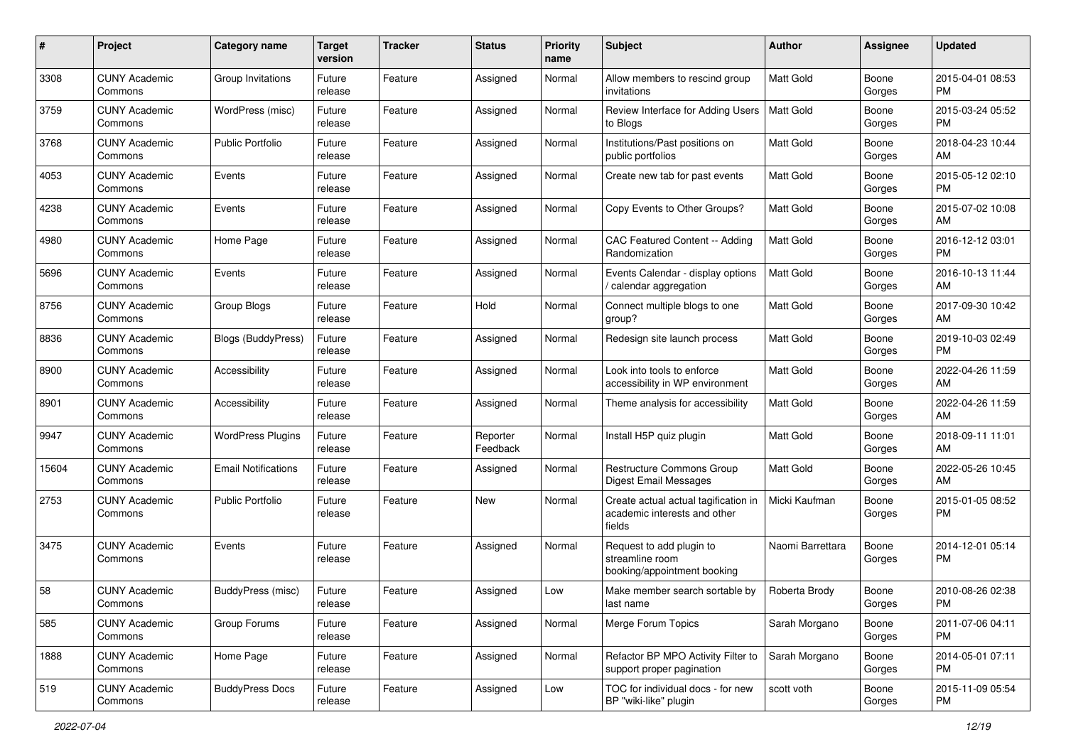| #     | Project                         | <b>Category name</b>       | <b>Target</b><br>version | <b>Tracker</b> | <b>Status</b>        | <b>Priority</b><br>name | <b>Subject</b>                                                                 | <b>Author</b>    | <b>Assignee</b> | <b>Updated</b>                |
|-------|---------------------------------|----------------------------|--------------------------|----------------|----------------------|-------------------------|--------------------------------------------------------------------------------|------------------|-----------------|-------------------------------|
| 3308  | <b>CUNY Academic</b><br>Commons | Group Invitations          | Future<br>release        | Feature        | Assigned             | Normal                  | Allow members to rescind group<br>invitations                                  | <b>Matt Gold</b> | Boone<br>Gorges | 2015-04-01 08:53<br>PM.       |
| 3759  | <b>CUNY Academic</b><br>Commons | WordPress (misc)           | Future<br>release        | Feature        | Assigned             | Normal                  | Review Interface for Adding Users<br>to Blogs                                  | Matt Gold        | Boone<br>Gorges | 2015-03-24 05:52<br><b>PM</b> |
| 3768  | <b>CUNY Academic</b><br>Commons | <b>Public Portfolio</b>    | Future<br>release        | Feature        | Assigned             | Normal                  | Institutions/Past positions on<br>public portfolios                            | Matt Gold        | Boone<br>Gorges | 2018-04-23 10:44<br>AM        |
| 4053  | <b>CUNY Academic</b><br>Commons | Events                     | Future<br>release        | Feature        | Assigned             | Normal                  | Create new tab for past events                                                 | <b>Matt Gold</b> | Boone<br>Gorges | 2015-05-12 02:10<br><b>PM</b> |
| 4238  | <b>CUNY Academic</b><br>Commons | Events                     | Future<br>release        | Feature        | Assigned             | Normal                  | Copy Events to Other Groups?                                                   | <b>Matt Gold</b> | Boone<br>Gorges | 2015-07-02 10:08<br>AM        |
| 4980  | <b>CUNY Academic</b><br>Commons | Home Page                  | Future<br>release        | Feature        | Assigned             | Normal                  | CAC Featured Content -- Adding<br>Randomization                                | <b>Matt Gold</b> | Boone<br>Gorges | 2016-12-12 03:01<br><b>PM</b> |
| 5696  | <b>CUNY Academic</b><br>Commons | Events                     | Future<br>release        | Feature        | Assigned             | Normal                  | Events Calendar - display options<br>calendar aggregation                      | <b>Matt Gold</b> | Boone<br>Gorges | 2016-10-13 11:44<br>AM        |
| 8756  | <b>CUNY Academic</b><br>Commons | <b>Group Blogs</b>         | Future<br>release        | Feature        | Hold                 | Normal                  | Connect multiple blogs to one<br>group?                                        | Matt Gold        | Boone<br>Gorges | 2017-09-30 10:42<br>AM        |
| 8836  | <b>CUNY Academic</b><br>Commons | <b>Blogs (BuddyPress)</b>  | Future<br>release        | Feature        | Assigned             | Normal                  | Redesign site launch process                                                   | <b>Matt Gold</b> | Boone<br>Gorges | 2019-10-03 02:49<br><b>PM</b> |
| 8900  | <b>CUNY Academic</b><br>Commons | Accessibility              | Future<br>release        | Feature        | Assigned             | Normal                  | Look into tools to enforce<br>accessibility in WP environment                  | Matt Gold        | Boone<br>Gorges | 2022-04-26 11:59<br>AM        |
| 8901  | <b>CUNY Academic</b><br>Commons | Accessibility              | Future<br>release        | Feature        | Assigned             | Normal                  | Theme analysis for accessibility                                               | <b>Matt Gold</b> | Boone<br>Gorges | 2022-04-26 11:59<br>AM        |
| 9947  | <b>CUNY Academic</b><br>Commons | <b>WordPress Plugins</b>   | Future<br>release        | Feature        | Reporter<br>Feedback | Normal                  | Install H5P quiz plugin                                                        | <b>Matt Gold</b> | Boone<br>Gorges | 2018-09-11 11:01<br>AM        |
| 15604 | <b>CUNY Academic</b><br>Commons | <b>Email Notifications</b> | Future<br>release        | Feature        | Assigned             | Normal                  | Restructure Commons Group<br><b>Digest Email Messages</b>                      | <b>Matt Gold</b> | Boone<br>Gorges | 2022-05-26 10:45<br>AM        |
| 2753  | CUNY Academic<br>Commons        | <b>Public Portfolio</b>    | Future<br>release        | Feature        | New                  | Normal                  | Create actual actual tagification in<br>academic interests and other<br>fields | Micki Kaufman    | Boone<br>Gorges | 2015-01-05 08:52<br>PM        |
| 3475  | <b>CUNY Academic</b><br>Commons | Events                     | Future<br>release        | Feature        | Assigned             | Normal                  | Request to add plugin to<br>streamline room<br>booking/appointment booking     | Naomi Barrettara | Boone<br>Gorges | 2014-12-01 05:14<br>PM        |
| 58    | <b>CUNY Academic</b><br>Commons | BuddyPress (misc)          | Future<br>release        | Feature        | Assigned             | Low                     | Make member search sortable by<br>last name                                    | Roberta Brody    | Boone<br>Gorges | 2010-08-26 02:38<br>PM        |
| 585   | <b>CUNY Academic</b><br>Commons | Group Forums               | Future<br>release        | Feature        | Assigned             | Normal                  | Merge Forum Topics                                                             | Sarah Morgano    | Boone<br>Gorges | 2011-07-06 04:11<br><b>PM</b> |
| 1888  | <b>CUNY Academic</b><br>Commons | Home Page                  | Future<br>release        | Feature        | Assigned             | Normal                  | Refactor BP MPO Activity Filter to<br>support proper pagination                | Sarah Morgano    | Boone<br>Gorges | 2014-05-01 07:11<br>PM        |
| 519   | <b>CUNY Academic</b><br>Commons | <b>BuddyPress Docs</b>     | Future<br>release        | Feature        | Assigned             | Low                     | TOC for individual docs - for new<br>BP "wiki-like" plugin                     | scott voth       | Boone<br>Gorges | 2015-11-09 05:54<br>PM        |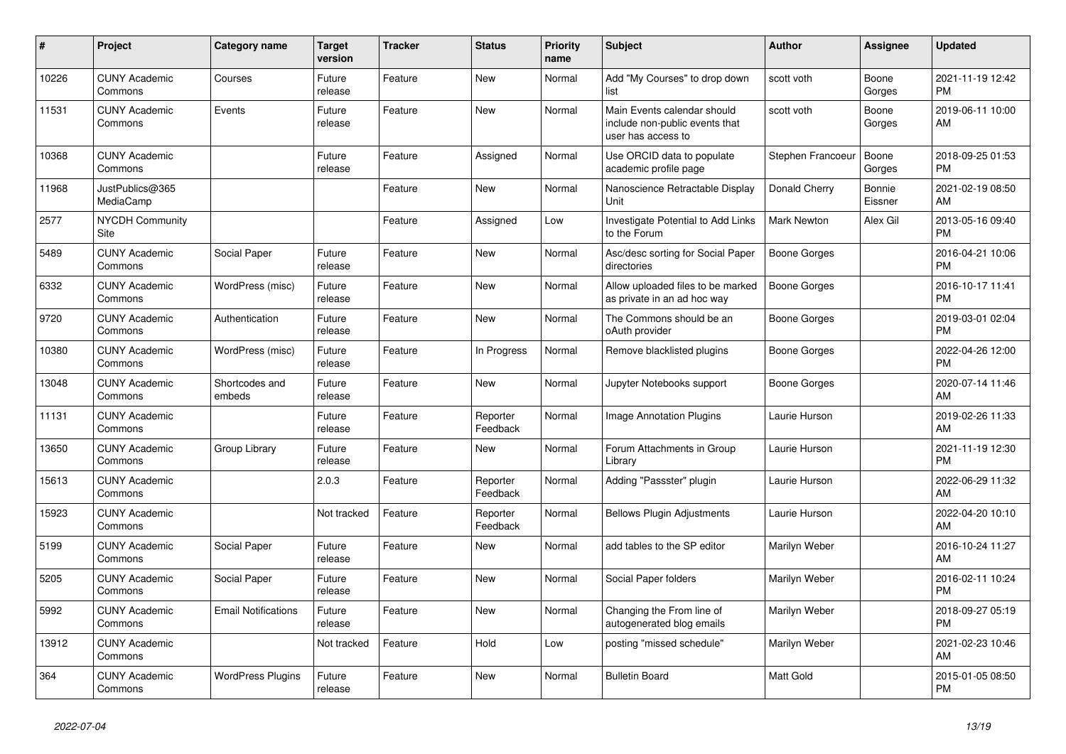| #     | Project                         | Category name              | <b>Target</b><br>version | <b>Tracker</b> | <b>Status</b>        | <b>Priority</b><br>name | <b>Subject</b>                                                                      | Author             | Assignee          | <b>Updated</b>                |
|-------|---------------------------------|----------------------------|--------------------------|----------------|----------------------|-------------------------|-------------------------------------------------------------------------------------|--------------------|-------------------|-------------------------------|
| 10226 | <b>CUNY Academic</b><br>Commons | Courses                    | Future<br>release        | Feature        | <b>New</b>           | Normal                  | Add "My Courses" to drop down<br>list                                               | scott voth         | Boone<br>Gorges   | 2021-11-19 12:42<br><b>PM</b> |
| 11531 | <b>CUNY Academic</b><br>Commons | Events                     | Future<br>release        | Feature        | <b>New</b>           | Normal                  | Main Events calendar should<br>include non-public events that<br>user has access to | scott voth         | Boone<br>Gorges   | 2019-06-11 10:00<br>AM        |
| 10368 | <b>CUNY Academic</b><br>Commons |                            | Future<br>release        | Feature        | Assigned             | Normal                  | Use ORCID data to populate<br>academic profile page                                 | Stephen Francoeur  | Boone<br>Gorges   | 2018-09-25 01:53<br><b>PM</b> |
| 11968 | JustPublics@365<br>MediaCamp    |                            |                          | Feature        | <b>New</b>           | Normal                  | Nanoscience Retractable Display<br>Unit                                             | Donald Cherry      | Bonnie<br>Eissner | 2021-02-19 08:50<br>AM        |
| 2577  | <b>NYCDH Community</b><br>Site  |                            |                          | Feature        | Assigned             | Low                     | Investigate Potential to Add Links<br>to the Forum                                  | <b>Mark Newton</b> | Alex Gil          | 2013-05-16 09:40<br><b>PM</b> |
| 5489  | <b>CUNY Academic</b><br>Commons | Social Paper               | Future<br>release        | Feature        | New                  | Normal                  | Asc/desc sorting for Social Paper<br>directories                                    | Boone Gorges       |                   | 2016-04-21 10:06<br><b>PM</b> |
| 6332  | <b>CUNY Academic</b><br>Commons | WordPress (misc)           | Future<br>release        | Feature        | <b>New</b>           | Normal                  | Allow uploaded files to be marked<br>as private in an ad hoc way                    | Boone Gorges       |                   | 2016-10-17 11:41<br><b>PM</b> |
| 9720  | <b>CUNY Academic</b><br>Commons | Authentication             | Future<br>release        | Feature        | <b>New</b>           | Normal                  | The Commons should be an<br>oAuth provider                                          | Boone Gorges       |                   | 2019-03-01 02:04<br><b>PM</b> |
| 10380 | <b>CUNY Academic</b><br>Commons | WordPress (misc)           | Future<br>release        | Feature        | In Progress          | Normal                  | Remove blacklisted plugins                                                          | Boone Gorges       |                   | 2022-04-26 12:00<br><b>PM</b> |
| 13048 | <b>CUNY Academic</b><br>Commons | Shortcodes and<br>embeds   | Future<br>release        | Feature        | <b>New</b>           | Normal                  | Jupyter Notebooks support                                                           | Boone Gorges       |                   | 2020-07-14 11:46<br>AM        |
| 11131 | <b>CUNY Academic</b><br>Commons |                            | Future<br>release        | Feature        | Reporter<br>Feedback | Normal                  | <b>Image Annotation Plugins</b>                                                     | Laurie Hurson      |                   | 2019-02-26 11:33<br>AM        |
| 13650 | <b>CUNY Academic</b><br>Commons | Group Library              | Future<br>release        | Feature        | New                  | Normal                  | Forum Attachments in Group<br>Library                                               | Laurie Hurson      |                   | 2021-11-19 12:30<br><b>PM</b> |
| 15613 | <b>CUNY Academic</b><br>Commons |                            | 2.0.3                    | Feature        | Reporter<br>Feedback | Normal                  | Adding "Passster" plugin                                                            | Laurie Hurson      |                   | 2022-06-29 11:32<br>AM        |
| 15923 | <b>CUNY Academic</b><br>Commons |                            | Not tracked              | Feature        | Reporter<br>Feedback | Normal                  | <b>Bellows Plugin Adjustments</b>                                                   | Laurie Hurson      |                   | 2022-04-20 10:10<br>AM        |
| 5199  | <b>CUNY Academic</b><br>Commons | Social Paper               | Future<br>release        | Feature        | <b>New</b>           | Normal                  | add tables to the SP editor                                                         | Marilyn Weber      |                   | 2016-10-24 11:27<br>AM        |
| 5205  | <b>CUNY Academic</b><br>Commons | Social Paper               | Future<br>release        | Feature        | <b>New</b>           | Normal                  | Social Paper folders                                                                | Marilyn Weber      |                   | 2016-02-11 10:24<br><b>PM</b> |
| 5992  | <b>CUNY Academic</b><br>Commons | <b>Email Notifications</b> | Future<br>release        | Feature        | <b>New</b>           | Normal                  | Changing the From line of<br>autogenerated blog emails                              | Marilyn Weber      |                   | 2018-09-27 05:19<br><b>PM</b> |
| 13912 | <b>CUNY Academic</b><br>Commons |                            | Not tracked              | Feature        | Hold                 | Low                     | posting "missed schedule"                                                           | Marilyn Weber      |                   | 2021-02-23 10:46<br>AM        |
| 364   | <b>CUNY Academic</b><br>Commons | <b>WordPress Plugins</b>   | Future<br>release        | Feature        | <b>New</b>           | Normal                  | <b>Bulletin Board</b>                                                               | <b>Matt Gold</b>   |                   | 2015-01-05 08:50<br><b>PM</b> |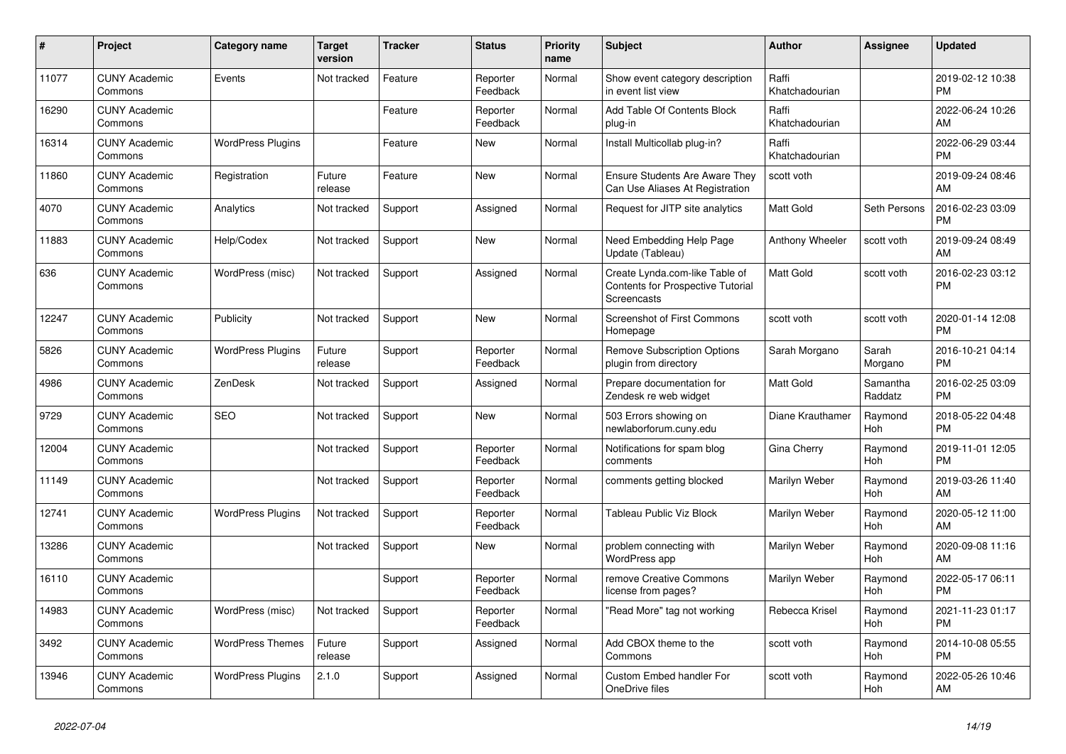| #     | Project                         | <b>Category name</b>     | <b>Target</b><br>version | <b>Tracker</b> | <b>Status</b>        | <b>Priority</b><br>name | <b>Subject</b>                                                                            | <b>Author</b>           | <b>Assignee</b>     | <b>Updated</b>                |
|-------|---------------------------------|--------------------------|--------------------------|----------------|----------------------|-------------------------|-------------------------------------------------------------------------------------------|-------------------------|---------------------|-------------------------------|
| 11077 | <b>CUNY Academic</b><br>Commons | Events                   | Not tracked              | Feature        | Reporter<br>Feedback | Normal                  | Show event category description<br>in event list view                                     | Raffi<br>Khatchadourian |                     | 2019-02-12 10:38<br><b>PM</b> |
| 16290 | <b>CUNY Academic</b><br>Commons |                          |                          | Feature        | Reporter<br>Feedback | Normal                  | Add Table Of Contents Block<br>plug-in                                                    | Raffi<br>Khatchadourian |                     | 2022-06-24 10:26<br>AM        |
| 16314 | <b>CUNY Academic</b><br>Commons | <b>WordPress Plugins</b> |                          | Feature        | New                  | Normal                  | Install Multicollab plug-in?                                                              | Raffi<br>Khatchadourian |                     | 2022-06-29 03:44<br><b>PM</b> |
| 11860 | <b>CUNY Academic</b><br>Commons | Registration             | Future<br>release        | Feature        | <b>New</b>           | Normal                  | <b>Ensure Students Are Aware They</b><br>Can Use Aliases At Registration                  | scott voth              |                     | 2019-09-24 08:46<br>AM        |
| 4070  | <b>CUNY Academic</b><br>Commons | Analytics                | Not tracked              | Support        | Assigned             | Normal                  | Request for JITP site analytics                                                           | Matt Gold               | Seth Persons        | 2016-02-23 03:09<br><b>PM</b> |
| 11883 | <b>CUNY Academic</b><br>Commons | Help/Codex               | Not tracked              | Support        | New                  | Normal                  | Need Embedding Help Page<br>Update (Tableau)                                              | Anthony Wheeler         | scott voth          | 2019-09-24 08:49<br>AM        |
| 636   | <b>CUNY Academic</b><br>Commons | WordPress (misc)         | Not tracked              | Support        | Assigned             | Normal                  | Create Lynda.com-like Table of<br><b>Contents for Prospective Tutorial</b><br>Screencasts | <b>Matt Gold</b>        | scott voth          | 2016-02-23 03:12<br><b>PM</b> |
| 12247 | <b>CUNY Academic</b><br>Commons | Publicity                | Not tracked              | Support        | <b>New</b>           | Normal                  | <b>Screenshot of First Commons</b><br>Homepage                                            | scott voth              | scott voth          | 2020-01-14 12:08<br><b>PM</b> |
| 5826  | <b>CUNY Academic</b><br>Commons | <b>WordPress Plugins</b> | Future<br>release        | Support        | Reporter<br>Feedback | Normal                  | <b>Remove Subscription Options</b><br>plugin from directory                               | Sarah Morgano           | Sarah<br>Morgano    | 2016-10-21 04:14<br><b>PM</b> |
| 4986  | <b>CUNY Academic</b><br>Commons | ZenDesk                  | Not tracked              | Support        | Assigned             | Normal                  | Prepare documentation for<br>Zendesk re web widget                                        | <b>Matt Gold</b>        | Samantha<br>Raddatz | 2016-02-25 03:09<br><b>PM</b> |
| 9729  | <b>CUNY Academic</b><br>Commons | <b>SEO</b>               | Not tracked              | Support        | New                  | Normal                  | 503 Errors showing on<br>newlaborforum.cuny.edu                                           | Diane Krauthamer        | Raymond<br>Hoh      | 2018-05-22 04:48<br><b>PM</b> |
| 12004 | <b>CUNY Academic</b><br>Commons |                          | Not tracked              | Support        | Reporter<br>Feedback | Normal                  | Notifications for spam blog<br>comments                                                   | Gina Cherry             | Raymond<br>Hoh      | 2019-11-01 12:05<br><b>PM</b> |
| 11149 | <b>CUNY Academic</b><br>Commons |                          | Not tracked              | Support        | Reporter<br>Feedback | Normal                  | comments getting blocked                                                                  | Marilyn Weber           | Raymond<br>Hoh      | 2019-03-26 11:40<br>AM        |
| 12741 | <b>CUNY Academic</b><br>Commons | <b>WordPress Plugins</b> | Not tracked              | Support        | Reporter<br>Feedback | Normal                  | Tableau Public Viz Block                                                                  | Marilyn Weber           | Raymond<br>Hoh      | 2020-05-12 11:00<br>AM        |
| 13286 | <b>CUNY Academic</b><br>Commons |                          | Not tracked              | Support        | New                  | Normal                  | problem connecting with<br><b>WordPress app</b>                                           | Marilyn Weber           | Raymond<br>Hoh      | 2020-09-08 11:16<br>AM        |
| 16110 | <b>CUNY Academic</b><br>Commons |                          |                          | Support        | Reporter<br>Feedback | Normal                  | remove Creative Commons<br>license from pages?                                            | Marilyn Weber           | Raymond<br>Hoh      | 2022-05-17 06:11<br><b>PM</b> |
| 14983 | <b>CUNY Academic</b><br>Commons | WordPress (misc)         | Not tracked              | Support        | Reporter<br>Feedback | Normal                  | "Read More" tag not working                                                               | Rebecca Krisel          | Raymond<br>Hoh      | 2021-11-23 01:17<br><b>PM</b> |
| 3492  | <b>CUNY Academic</b><br>Commons | <b>WordPress Themes</b>  | Future<br>release        | Support        | Assigned             | Normal                  | Add CBOX theme to the<br>Commons                                                          | scott voth              | Raymond<br>Hoh      | 2014-10-08 05:55<br><b>PM</b> |
| 13946 | <b>CUNY Academic</b><br>Commons | <b>WordPress Plugins</b> | 2.1.0                    | Support        | Assigned             | Normal                  | Custom Embed handler For<br>OneDrive files                                                | scott voth              | Raymond<br>Hoh      | 2022-05-26 10:46<br>AM        |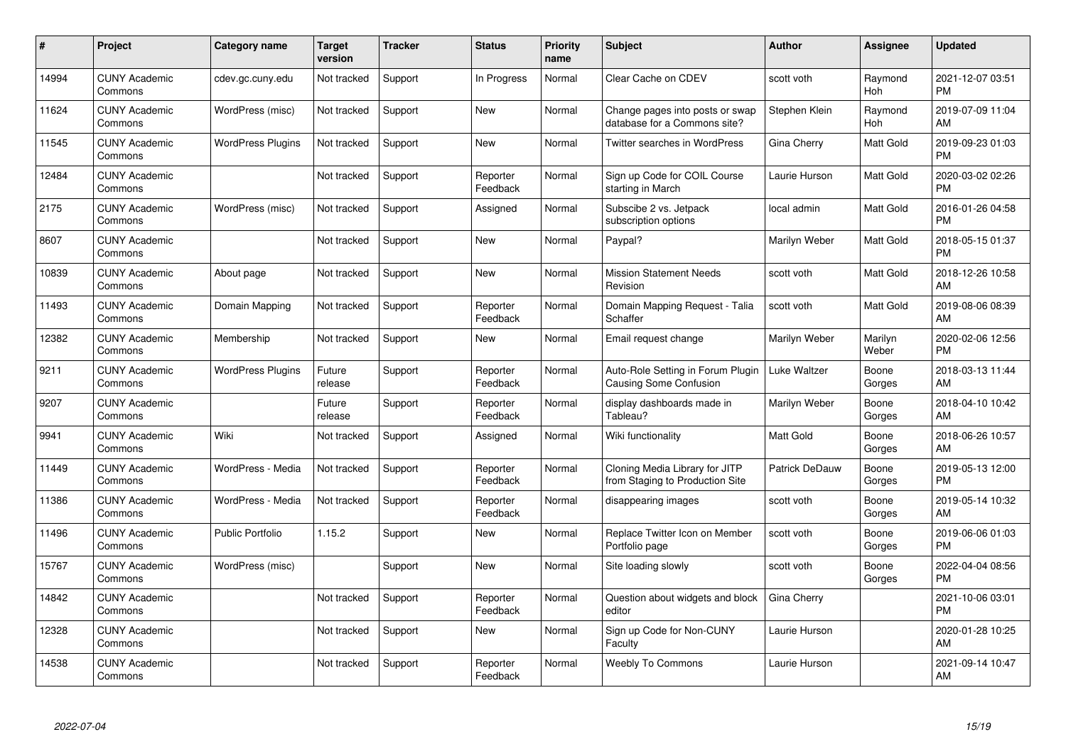| $\pmb{\#}$ | Project                         | <b>Category name</b>     | <b>Target</b><br>version | <b>Tracker</b> | <b>Status</b>        | Priority<br>name | <b>Subject</b>                                                    | <b>Author</b>  | <b>Assignee</b>  | <b>Updated</b>                |
|------------|---------------------------------|--------------------------|--------------------------|----------------|----------------------|------------------|-------------------------------------------------------------------|----------------|------------------|-------------------------------|
| 14994      | <b>CUNY Academic</b><br>Commons | cdev.gc.cuny.edu         | Not tracked              | Support        | In Progress          | Normal           | Clear Cache on CDEV                                               | scott voth     | Raymond<br>Hoh   | 2021-12-07 03:51<br><b>PM</b> |
| 11624      | <b>CUNY Academic</b><br>Commons | WordPress (misc)         | Not tracked              | Support        | <b>New</b>           | Normal           | Change pages into posts or swap<br>database for a Commons site?   | Stephen Klein  | Raymond<br>Hoh   | 2019-07-09 11:04<br>AM        |
| 11545      | <b>CUNY Academic</b><br>Commons | <b>WordPress Plugins</b> | Not tracked              | Support        | <b>New</b>           | Normal           | <b>Twitter searches in WordPress</b>                              | Gina Cherry    | Matt Gold        | 2019-09-23 01:03<br><b>PM</b> |
| 12484      | <b>CUNY Academic</b><br>Commons |                          | Not tracked              | Support        | Reporter<br>Feedback | Normal           | Sign up Code for COIL Course<br>starting in March                 | Laurie Hurson  | Matt Gold        | 2020-03-02 02:26<br><b>PM</b> |
| 2175       | <b>CUNY Academic</b><br>Commons | WordPress (misc)         | Not tracked              | Support        | Assigned             | Normal           | Subscibe 2 vs. Jetpack<br>subscription options                    | local admin    | Matt Gold        | 2016-01-26 04:58<br><b>PM</b> |
| 8607       | <b>CUNY Academic</b><br>Commons |                          | Not tracked              | Support        | <b>New</b>           | Normal           | Paypal?                                                           | Marilyn Weber  | Matt Gold        | 2018-05-15 01:37<br><b>PM</b> |
| 10839      | <b>CUNY Academic</b><br>Commons | About page               | Not tracked              | Support        | New                  | Normal           | <b>Mission Statement Needs</b><br>Revision                        | scott voth     | Matt Gold        | 2018-12-26 10:58<br>AM        |
| 11493      | <b>CUNY Academic</b><br>Commons | Domain Mapping           | Not tracked              | Support        | Reporter<br>Feedback | Normal           | Domain Mapping Request - Talia<br>Schaffer                        | scott voth     | Matt Gold        | 2019-08-06 08:39<br>AM        |
| 12382      | <b>CUNY Academic</b><br>Commons | Membership               | Not tracked              | Support        | New                  | Normal           | Email request change                                              | Marilyn Weber  | Marilyn<br>Weber | 2020-02-06 12:56<br><b>PM</b> |
| 9211       | <b>CUNY Academic</b><br>Commons | <b>WordPress Plugins</b> | Future<br>release        | Support        | Reporter<br>Feedback | Normal           | Auto-Role Setting in Forum Plugin<br>Causing Some Confusion       | Luke Waltzer   | Boone<br>Gorges  | 2018-03-13 11:44<br>AM        |
| 9207       | <b>CUNY Academic</b><br>Commons |                          | Future<br>release        | Support        | Reporter<br>Feedback | Normal           | display dashboards made in<br>Tableau?                            | Marilyn Weber  | Boone<br>Gorges  | 2018-04-10 10:42<br>AM        |
| 9941       | <b>CUNY Academic</b><br>Commons | Wiki                     | Not tracked              | Support        | Assigned             | Normal           | Wiki functionality                                                | Matt Gold      | Boone<br>Gorges  | 2018-06-26 10:57<br>AM        |
| 11449      | <b>CUNY Academic</b><br>Commons | WordPress - Media        | Not tracked              | Support        | Reporter<br>Feedback | Normal           | Cloning Media Library for JITP<br>from Staging to Production Site | Patrick DeDauw | Boone<br>Gorges  | 2019-05-13 12:00<br><b>PM</b> |
| 11386      | <b>CUNY Academic</b><br>Commons | WordPress - Media        | Not tracked              | Support        | Reporter<br>Feedback | Normal           | disappearing images                                               | scott voth     | Boone<br>Gorges  | 2019-05-14 10:32<br>AM        |
| 11496      | <b>CUNY Academic</b><br>Commons | <b>Public Portfolio</b>  | 1.15.2                   | Support        | New                  | Normal           | Replace Twitter Icon on Member<br>Portfolio page                  | scott voth     | Boone<br>Gorges  | 2019-06-06 01:03<br><b>PM</b> |
| 15767      | <b>CUNY Academic</b><br>Commons | WordPress (misc)         |                          | Support        | New                  | Normal           | Site loading slowly                                               | scott voth     | Boone<br>Gorges  | 2022-04-04 08:56<br><b>PM</b> |
| 14842      | <b>CUNY Academic</b><br>Commons |                          | Not tracked              | Support        | Reporter<br>Feedback | Normal           | Question about widgets and block<br>editor                        | Gina Cherry    |                  | 2021-10-06 03:01<br><b>PM</b> |
| 12328      | <b>CUNY Academic</b><br>Commons |                          | Not tracked              | Support        | New                  | Normal           | Sign up Code for Non-CUNY<br>Faculty                              | Laurie Hurson  |                  | 2020-01-28 10:25<br>AM        |
| 14538      | CUNY Academic<br>Commons        |                          | Not tracked              | Support        | Reporter<br>Feedback | Normal           | <b>Weebly To Commons</b>                                          | Laurie Hurson  |                  | 2021-09-14 10:47<br>AM        |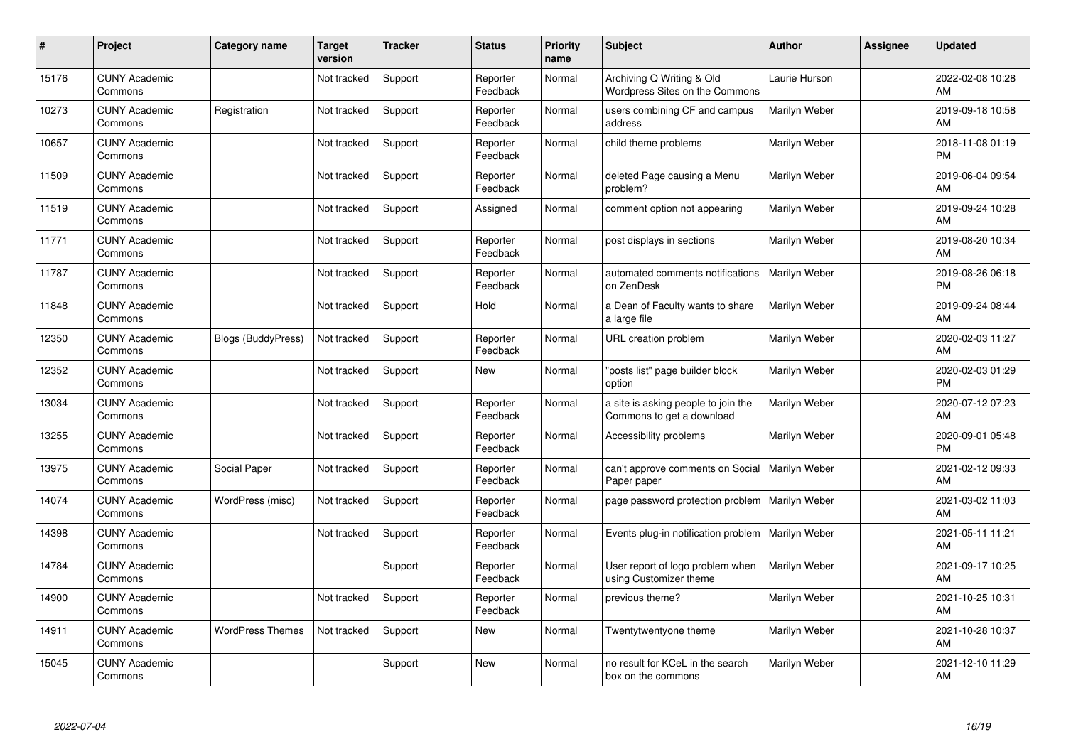| $\#$  | Project                         | <b>Category name</b>      | <b>Target</b><br>version | <b>Tracker</b> | <b>Status</b>        | Priority<br>name | <b>Subject</b>                                                   | <b>Author</b> | Assignee | <b>Updated</b>                |
|-------|---------------------------------|---------------------------|--------------------------|----------------|----------------------|------------------|------------------------------------------------------------------|---------------|----------|-------------------------------|
| 15176 | <b>CUNY Academic</b><br>Commons |                           | Not tracked              | Support        | Reporter<br>Feedback | Normal           | Archiving Q Writing & Old<br>Wordpress Sites on the Commons      | Laurie Hurson |          | 2022-02-08 10:28<br>AM        |
| 10273 | <b>CUNY Academic</b><br>Commons | Registration              | Not tracked              | Support        | Reporter<br>Feedback | Normal           | users combining CF and campus<br>address                         | Marilyn Weber |          | 2019-09-18 10:58<br>AM        |
| 10657 | <b>CUNY Academic</b><br>Commons |                           | Not tracked              | Support        | Reporter<br>Feedback | Normal           | child theme problems                                             | Marilyn Weber |          | 2018-11-08 01:19<br><b>PM</b> |
| 11509 | <b>CUNY Academic</b><br>Commons |                           | Not tracked              | Support        | Reporter<br>Feedback | Normal           | deleted Page causing a Menu<br>problem?                          | Marilyn Weber |          | 2019-06-04 09:54<br>AM        |
| 11519 | <b>CUNY Academic</b><br>Commons |                           | Not tracked              | Support        | Assigned             | Normal           | comment option not appearing                                     | Marilyn Weber |          | 2019-09-24 10:28<br>AM        |
| 11771 | <b>CUNY Academic</b><br>Commons |                           | Not tracked              | Support        | Reporter<br>Feedback | Normal           | post displays in sections                                        | Marilyn Weber |          | 2019-08-20 10:34<br>AM        |
| 11787 | <b>CUNY Academic</b><br>Commons |                           | Not tracked              | Support        | Reporter<br>Feedback | Normal           | automated comments notifications<br>on ZenDesk                   | Marilyn Weber |          | 2019-08-26 06:18<br><b>PM</b> |
| 11848 | <b>CUNY Academic</b><br>Commons |                           | Not tracked              | Support        | Hold                 | Normal           | a Dean of Faculty wants to share<br>a large file                 | Marilyn Weber |          | 2019-09-24 08:44<br>AM        |
| 12350 | <b>CUNY Academic</b><br>Commons | <b>Blogs (BuddyPress)</b> | Not tracked              | Support        | Reporter<br>Feedback | Normal           | URL creation problem                                             | Marilyn Weber |          | 2020-02-03 11:27<br>AM        |
| 12352 | <b>CUNY Academic</b><br>Commons |                           | Not tracked              | Support        | <b>New</b>           | Normal           | "posts list" page builder block<br>option                        | Marilyn Weber |          | 2020-02-03 01:29<br><b>PM</b> |
| 13034 | <b>CUNY Academic</b><br>Commons |                           | Not tracked              | Support        | Reporter<br>Feedback | Normal           | a site is asking people to join the<br>Commons to get a download | Marilyn Weber |          | 2020-07-12 07:23<br>AM        |
| 13255 | <b>CUNY Academic</b><br>Commons |                           | Not tracked              | Support        | Reporter<br>Feedback | Normal           | Accessibility problems                                           | Marilyn Weber |          | 2020-09-01 05:48<br><b>PM</b> |
| 13975 | <b>CUNY Academic</b><br>Commons | Social Paper              | Not tracked              | Support        | Reporter<br>Feedback | Normal           | can't approve comments on Social<br>Paper paper                  | Marilyn Weber |          | 2021-02-12 09:33<br>AM        |
| 14074 | <b>CUNY Academic</b><br>Commons | WordPress (misc)          | Not tracked              | Support        | Reporter<br>Feedback | Normal           | page password protection problem                                 | Marilyn Weber |          | 2021-03-02 11:03<br>AM        |
| 14398 | <b>CUNY Academic</b><br>Commons |                           | Not tracked              | Support        | Reporter<br>Feedback | Normal           | Events plug-in notification problem                              | Marilyn Weber |          | 2021-05-11 11:21<br>AM        |
| 14784 | <b>CUNY Academic</b><br>Commons |                           |                          | Support        | Reporter<br>Feedback | Normal           | User report of logo problem when<br>using Customizer theme       | Marilyn Weber |          | 2021-09-17 10:25<br>AM        |
| 14900 | <b>CUNY Academic</b><br>Commons |                           | Not tracked              | Support        | Reporter<br>Feedback | Normal           | previous theme?                                                  | Marilyn Weber |          | 2021-10-25 10:31<br>AM        |
| 14911 | <b>CUNY Academic</b><br>Commons | <b>WordPress Themes</b>   | Not tracked              | Support        | New                  | Normal           | Twentytwentyone theme                                            | Marilyn Weber |          | 2021-10-28 10:37<br>AM        |
| 15045 | <b>CUNY Academic</b><br>Commons |                           |                          | Support        | <b>New</b>           | Normal           | no result for KCeL in the search<br>box on the commons           | Marilyn Weber |          | 2021-12-10 11:29<br>AM        |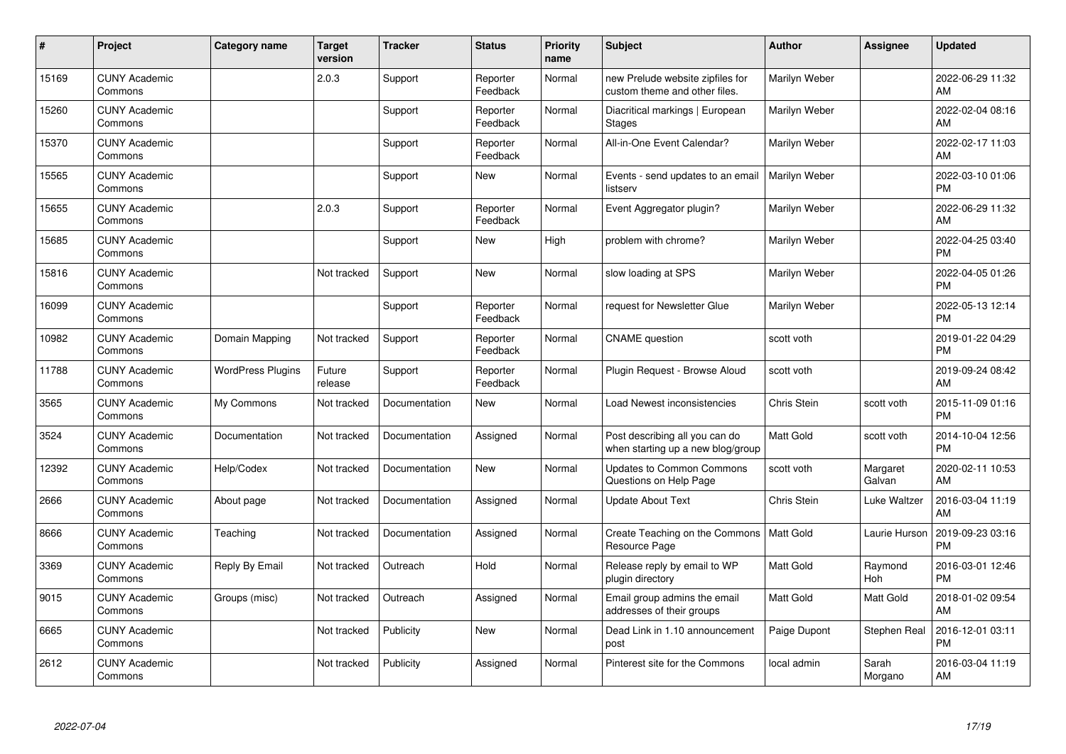| #     | Project                         | <b>Category name</b>     | <b>Target</b><br>version | <b>Tracker</b> | <b>Status</b>        | <b>Priority</b><br>name | <b>Subject</b>                                                      | <b>Author</b>    | <b>Assignee</b>    | <b>Updated</b>                |
|-------|---------------------------------|--------------------------|--------------------------|----------------|----------------------|-------------------------|---------------------------------------------------------------------|------------------|--------------------|-------------------------------|
| 15169 | <b>CUNY Academic</b><br>Commons |                          | 2.0.3                    | Support        | Reporter<br>Feedback | Normal                  | new Prelude website zipfiles for<br>custom theme and other files.   | Marilyn Weber    |                    | 2022-06-29 11:32<br>AM        |
| 15260 | <b>CUNY Academic</b><br>Commons |                          |                          | Support        | Reporter<br>Feedback | Normal                  | Diacritical markings   European<br><b>Stages</b>                    | Marilyn Weber    |                    | 2022-02-04 08:16<br>AM        |
| 15370 | <b>CUNY Academic</b><br>Commons |                          |                          | Support        | Reporter<br>Feedback | Normal                  | All-in-One Event Calendar?                                          | Marilyn Weber    |                    | 2022-02-17 11:03<br>AM        |
| 15565 | <b>CUNY Academic</b><br>Commons |                          |                          | Support        | <b>New</b>           | Normal                  | Events - send updates to an email<br>listserv                       | Marilyn Weber    |                    | 2022-03-10 01:06<br><b>PM</b> |
| 15655 | <b>CUNY Academic</b><br>Commons |                          | 2.0.3                    | Support        | Reporter<br>Feedback | Normal                  | Event Aggregator plugin?                                            | Marilyn Weber    |                    | 2022-06-29 11:32<br>AM        |
| 15685 | <b>CUNY Academic</b><br>Commons |                          |                          | Support        | <b>New</b>           | High                    | problem with chrome?                                                | Marilyn Weber    |                    | 2022-04-25 03:40<br><b>PM</b> |
| 15816 | <b>CUNY Academic</b><br>Commons |                          | Not tracked              | Support        | <b>New</b>           | Normal                  | slow loading at SPS                                                 | Marilyn Weber    |                    | 2022-04-05 01:26<br><b>PM</b> |
| 16099 | <b>CUNY Academic</b><br>Commons |                          |                          | Support        | Reporter<br>Feedback | Normal                  | request for Newsletter Glue                                         | Marilyn Weber    |                    | 2022-05-13 12:14<br><b>PM</b> |
| 10982 | <b>CUNY Academic</b><br>Commons | Domain Mapping           | Not tracked              | Support        | Reporter<br>Feedback | Normal                  | <b>CNAME</b> question                                               | scott voth       |                    | 2019-01-22 04:29<br><b>PM</b> |
| 11788 | <b>CUNY Academic</b><br>Commons | <b>WordPress Plugins</b> | Future<br>release        | Support        | Reporter<br>Feedback | Normal                  | Plugin Reguest - Browse Aloud                                       | scott voth       |                    | 2019-09-24 08:42<br>AM        |
| 3565  | <b>CUNY Academic</b><br>Commons | My Commons               | Not tracked              | Documentation  | <b>New</b>           | Normal                  | Load Newest inconsistencies                                         | Chris Stein      | scott voth         | 2015-11-09 01:16<br><b>PM</b> |
| 3524  | <b>CUNY Academic</b><br>Commons | Documentation            | Not tracked              | Documentation  | Assigned             | Normal                  | Post describing all you can do<br>when starting up a new blog/group | Matt Gold        | scott voth         | 2014-10-04 12:56<br><b>PM</b> |
| 12392 | <b>CUNY Academic</b><br>Commons | Help/Codex               | Not tracked              | Documentation  | New                  | Normal                  | Updates to Common Commons<br>Questions on Help Page                 | scott voth       | Margaret<br>Galvan | 2020-02-11 10:53<br>AM        |
| 2666  | <b>CUNY Academic</b><br>Commons | About page               | Not tracked              | Documentation  | Assigned             | Normal                  | <b>Update About Text</b>                                            | Chris Stein      | Luke Waltzer       | 2016-03-04 11:19<br>AM        |
| 8666  | <b>CUNY Academic</b><br>Commons | Teaching                 | Not tracked              | Documentation  | Assigned             | Normal                  | Create Teaching on the Commons   Matt Gold<br>Resource Page         |                  | Laurie Hurson      | 2019-09-23 03:16<br><b>PM</b> |
| 3369  | <b>CUNY Academic</b><br>Commons | Reply By Email           | Not tracked              | Outreach       | Hold                 | Normal                  | Release reply by email to WP<br>plugin directory                    | <b>Matt Gold</b> | Raymond<br>Hoh     | 2016-03-01 12:46<br><b>PM</b> |
| 9015  | <b>CUNY Academic</b><br>Commons | Groups (misc)            | Not tracked              | Outreach       | Assigned             | Normal                  | Email group admins the email<br>addresses of their groups           | <b>Matt Gold</b> | Matt Gold          | 2018-01-02 09:54<br>AM        |
| 6665  | <b>CUNY Academic</b><br>Commons |                          | Not tracked              | Publicity      | <b>New</b>           | Normal                  | Dead Link in 1.10 announcement<br>post                              | Paige Dupont     | Stephen Real       | 2016-12-01 03:11<br><b>PM</b> |
| 2612  | <b>CUNY Academic</b><br>Commons |                          | Not tracked              | Publicity      | Assigned             | Normal                  | Pinterest site for the Commons                                      | local admin      | Sarah<br>Morgano   | 2016-03-04 11:19<br>AM        |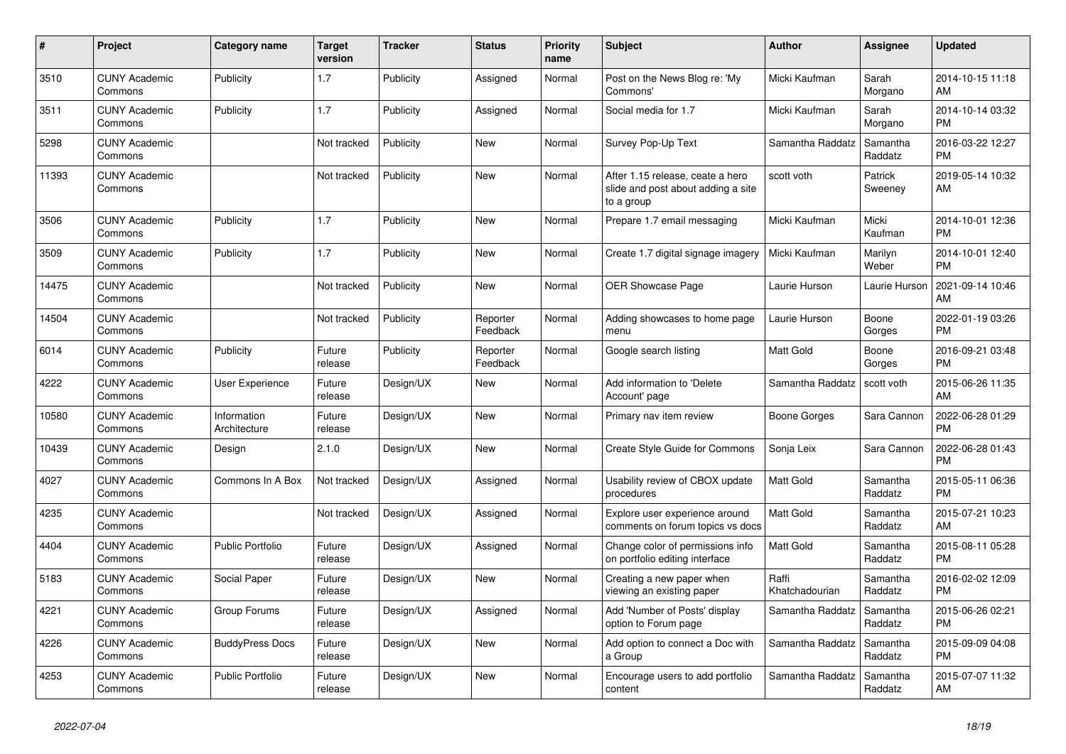| $\vert$ # | <b>Project</b>                  | Category name               | <b>Target</b><br>version | <b>Tracker</b> | <b>Status</b>        | Priority<br>name | <b>Subject</b>                                                                       | <b>Author</b>           | Assignee            | <b>Updated</b>                |
|-----------|---------------------------------|-----------------------------|--------------------------|----------------|----------------------|------------------|--------------------------------------------------------------------------------------|-------------------------|---------------------|-------------------------------|
| 3510      | <b>CUNY Academic</b><br>Commons | Publicity                   | 1.7                      | Publicity      | Assigned             | Normal           | Post on the News Blog re: 'My<br>Commons'                                            | Micki Kaufman           | Sarah<br>Morgano    | 2014-10-15 11:18<br>AM        |
| 3511      | <b>CUNY Academic</b><br>Commons | Publicity                   | 1.7                      | Publicity      | Assigned             | Normal           | Social media for 1.7                                                                 | Micki Kaufman           | Sarah<br>Morgano    | 2014-10-14 03:32<br><b>PM</b> |
| 5298      | <b>CUNY Academic</b><br>Commons |                             | Not tracked              | Publicity      | <b>New</b>           | Normal           | Survey Pop-Up Text                                                                   | Samantha Raddatz        | Samantha<br>Raddatz | 2016-03-22 12:27<br><b>PM</b> |
| 11393     | <b>CUNY Academic</b><br>Commons |                             | Not tracked              | Publicity      | <b>New</b>           | Normal           | After 1.15 release, ceate a hero<br>slide and post about adding a site<br>to a group | scott voth              | Patrick<br>Sweeney  | 2019-05-14 10:32<br>AM        |
| 3506      | <b>CUNY Academic</b><br>Commons | Publicity                   | 1.7                      | Publicity      | <b>New</b>           | Normal           | Prepare 1.7 email messaging                                                          | Micki Kaufman           | Micki<br>Kaufman    | 2014-10-01 12:36<br><b>PM</b> |
| 3509      | <b>CUNY Academic</b><br>Commons | Publicity                   | 1.7                      | Publicity      | <b>New</b>           | Normal           | Create 1.7 digital signage imagery                                                   | Micki Kaufman           | Marilyn<br>Weber    | 2014-10-01 12:40<br><b>PM</b> |
| 14475     | <b>CUNY Academic</b><br>Commons |                             | Not tracked              | Publicity      | <b>New</b>           | Normal           | <b>OER Showcase Page</b>                                                             | Laurie Hurson           | Laurie Hurson       | 2021-09-14 10:46<br>AM        |
| 14504     | <b>CUNY Academic</b><br>Commons |                             | Not tracked              | Publicity      | Reporter<br>Feedback | Normal           | Adding showcases to home page<br>menu                                                | Laurie Hurson           | Boone<br>Gorges     | 2022-01-19 03:26<br><b>PM</b> |
| 6014      | <b>CUNY Academic</b><br>Commons | Publicity                   | Future<br>release        | Publicity      | Reporter<br>Feedback | Normal           | Google search listing                                                                | <b>Matt Gold</b>        | Boone<br>Gorges     | 2016-09-21 03:48<br><b>PM</b> |
| 4222      | <b>CUNY Academic</b><br>Commons | User Experience             | Future<br>release        | Design/UX      | <b>New</b>           | Normal           | Add information to 'Delete<br>Account' page                                          | Samantha Raddatz        | scott voth          | 2015-06-26 11:35<br>AM        |
| 10580     | <b>CUNY Academic</b><br>Commons | Information<br>Architecture | Future<br>release        | Design/UX      | <b>New</b>           | Normal           | Primary nav item review                                                              | Boone Gorges            | Sara Cannon         | 2022-06-28 01:29<br><b>PM</b> |
| 10439     | <b>CUNY Academic</b><br>Commons | Design                      | 2.1.0                    | Design/UX      | New                  | Normal           | Create Style Guide for Commons                                                       | Sonja Leix              | Sara Cannon         | 2022-06-28 01:43<br><b>PM</b> |
| 4027      | <b>CUNY Academic</b><br>Commons | Commons In A Box            | Not tracked              | Design/UX      | Assigned             | Normal           | Usability review of CBOX update<br>procedures                                        | <b>Matt Gold</b>        | Samantha<br>Raddatz | 2015-05-11 06:36<br><b>PM</b> |
| 4235      | <b>CUNY Academic</b><br>Commons |                             | Not tracked              | Design/UX      | Assigned             | Normal           | Explore user experience around<br>comments on forum topics vs docs                   | <b>Matt Gold</b>        | Samantha<br>Raddatz | 2015-07-21 10:23<br>AM        |
| 4404      | <b>CUNY Academic</b><br>Commons | <b>Public Portfolio</b>     | Future<br>release        | Design/UX      | Assigned             | Normal           | Change color of permissions info<br>on portfolio editing interface                   | <b>Matt Gold</b>        | Samantha<br>Raddatz | 2015-08-11 05:28<br><b>PM</b> |
| 5183      | <b>CUNY Academic</b><br>Commons | Social Paper                | Future<br>release        | Design/UX      | <b>New</b>           | Normal           | Creating a new paper when<br>viewing an existing paper                               | Raffi<br>Khatchadourian | Samantha<br>Raddatz | 2016-02-02 12:09<br><b>PM</b> |
| 4221      | <b>CUNY Academic</b><br>Commons | Group Forums                | Future<br>release        | Design/UX      | Assigned             | Normal           | Add 'Number of Posts' display<br>option to Forum page                                | Samantha Raddatz        | Samantha<br>Raddatz | 2015-06-26 02:21<br><b>PM</b> |
| 4226      | <b>CUNY Academic</b><br>Commons | <b>BuddyPress Docs</b>      | Future<br>release        | Design/UX      | <b>New</b>           | Normal           | Add option to connect a Doc with<br>a Group                                          | Samantha Raddatz        | Samantha<br>Raddatz | 2015-09-09 04:08<br><b>PM</b> |
| 4253      | <b>CUNY Academic</b><br>Commons | Public Portfolio            | Future<br>release        | Design/UX      | <b>New</b>           | Normal           | Encourage users to add portfolio<br>content                                          | Samantha Raddatz        | Samantha<br>Raddatz | 2015-07-07 11:32<br>AM        |